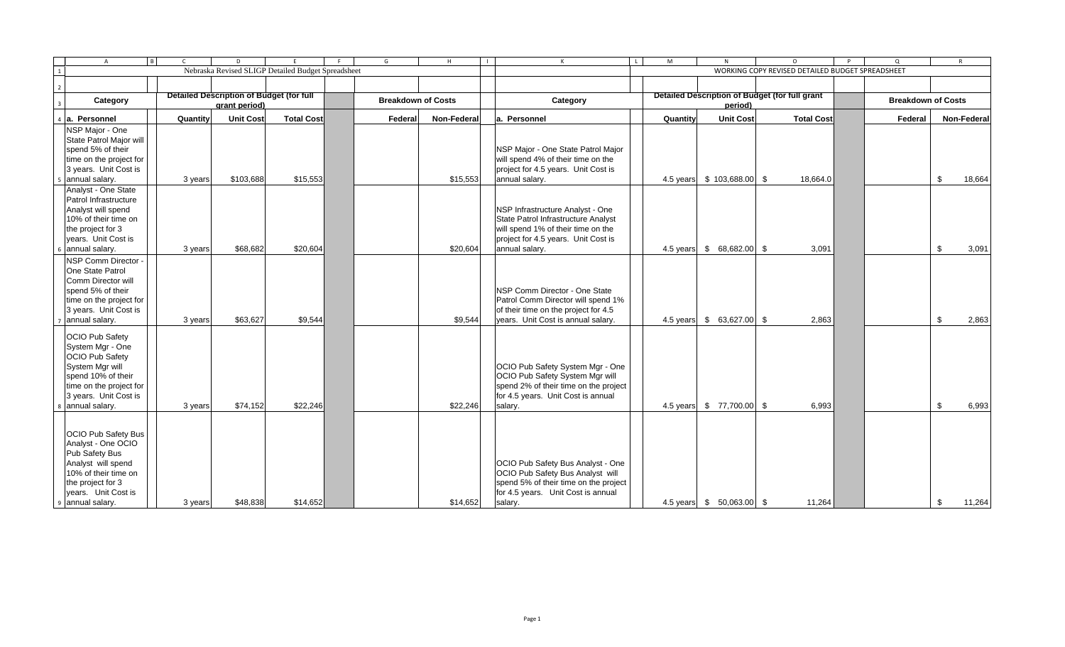| l Bl<br>$\overline{A}$                       | $\mathsf{C}$ | D                                                  | F                 | G                         | H           | $\blacksquare$ | $\mathsf{K}$<br>$\mathbf{L}$                                               | M        | N                                              | $\circ$                                          | P | $\Omega$                  | $\mathsf{R}$ |
|----------------------------------------------|--------------|----------------------------------------------------|-------------------|---------------------------|-------------|----------------|----------------------------------------------------------------------------|----------|------------------------------------------------|--------------------------------------------------|---|---------------------------|--------------|
| $\overline{1}$                               |              | Nebraska Revised SLIGP Detailed Budget Spreadsheet |                   |                           |             |                |                                                                            |          |                                                | WORKING COPY REVISED DETAILED BUDGET SPREADSHEET |   |                           |              |
| $\overline{2}$                               |              |                                                    |                   |                           |             |                |                                                                            |          |                                                |                                                  |   |                           |              |
| Category                                     |              | Detailed Description of Budget (for full           |                   | <b>Breakdown of Costs</b> |             |                | Category                                                                   |          | Detailed Description of Budget (for full grant |                                                  |   | <b>Breakdown of Costs</b> |              |
|                                              |              | grant period)                                      |                   |                           |             |                |                                                                            |          | period)                                        |                                                  |   |                           |              |
| a. Personnel                                 | Quantity     | <b>Unit Cost</b>                                   | <b>Total Cost</b> | Federal                   | Non-Federal |                | la. Personnel                                                              | Quantity | <b>Unit Cost</b>                               | <b>Total Cost</b>                                |   | Federal                   | Non-Federal  |
| NSP Major - One                              |              |                                                    |                   |                           |             |                |                                                                            |          |                                                |                                                  |   |                           |              |
| State Patrol Major will                      |              |                                                    |                   |                           |             |                |                                                                            |          |                                                |                                                  |   |                           |              |
| spend 5% of their<br>time on the project for |              |                                                    |                   |                           |             |                | NSP Major - One State Patrol Major<br>will spend 4% of their time on the   |          |                                                |                                                  |   |                           |              |
| 3 years. Unit Cost is                        |              |                                                    |                   |                           |             |                | project for 4.5 years. Unit Cost is                                        |          |                                                |                                                  |   |                           |              |
| annual salary.                               | 3 years      | \$103,688                                          | \$15,553          |                           | \$15,553    |                | annual salary.                                                             |          | 4.5 years \$ 103,688.00 \$                     | 18,664.0                                         |   |                           | \$<br>18,664 |
| Analyst - One State                          |              |                                                    |                   |                           |             |                |                                                                            |          |                                                |                                                  |   |                           |              |
| Patrol Infrastructure                        |              |                                                    |                   |                           |             |                |                                                                            |          |                                                |                                                  |   |                           |              |
| Analyst will spend                           |              |                                                    |                   |                           |             |                | NSP Infrastructure Analyst - One                                           |          |                                                |                                                  |   |                           |              |
| 10% of their time on                         |              |                                                    |                   |                           |             |                | State Patrol Infrastructure Analyst                                        |          |                                                |                                                  |   |                           |              |
| the project for 3<br>years. Unit Cost is     |              |                                                    |                   |                           |             |                | will spend 1% of their time on the<br>project for 4.5 years. Unit Cost is  |          |                                                |                                                  |   |                           |              |
| $6$ annual salary.                           | 3 years      | \$68,682                                           | \$20,604          |                           | \$20,604    |                | annual salary.                                                             |          | 4.5 years \$ 68,682.00 \$                      | 3,091                                            |   |                           | \$<br>3,091  |
| NSP Comm Director -                          |              |                                                    |                   |                           |             |                |                                                                            |          |                                                |                                                  |   |                           |              |
| <b>One State Patrol</b>                      |              |                                                    |                   |                           |             |                |                                                                            |          |                                                |                                                  |   |                           |              |
| Comm Director will                           |              |                                                    |                   |                           |             |                |                                                                            |          |                                                |                                                  |   |                           |              |
| spend 5% of their                            |              |                                                    |                   |                           |             |                | <b>NSP Comm Director - One State</b>                                       |          |                                                |                                                  |   |                           |              |
| time on the project for                      |              |                                                    |                   |                           |             |                | Patrol Comm Director will spend 1%                                         |          |                                                |                                                  |   |                           |              |
| 3 years. Unit Cost is<br>annual salary.      | 3 years      | \$63,627                                           | \$9,544           |                           | \$9,544     |                | of their time on the project for 4.5<br>years. Unit Cost is annual salary. |          | 4.5 years \$ 63,627.00 \$                      | 2,863                                            |   |                           | \$<br>2,863  |
|                                              |              |                                                    |                   |                           |             |                |                                                                            |          |                                                |                                                  |   |                           |              |
| <b>OCIO Pub Safety</b>                       |              |                                                    |                   |                           |             |                |                                                                            |          |                                                |                                                  |   |                           |              |
| System Mgr - One<br><b>OCIO Pub Safety</b>   |              |                                                    |                   |                           |             |                |                                                                            |          |                                                |                                                  |   |                           |              |
| System Mgr will                              |              |                                                    |                   |                           |             |                | OCIO Pub Safety System Mgr - One                                           |          |                                                |                                                  |   |                           |              |
| spend 10% of their                           |              |                                                    |                   |                           |             |                | OCIO Pub Safety System Mgr will                                            |          |                                                |                                                  |   |                           |              |
| time on the project for                      |              |                                                    |                   |                           |             |                | spend 2% of their time on the project                                      |          |                                                |                                                  |   |                           |              |
| 3 years. Unit Cost is                        |              |                                                    |                   |                           |             |                | for 4.5 years. Unit Cost is annual                                         |          |                                                |                                                  |   |                           |              |
| 8 annual salary.                             | 3 years      | \$74,152                                           | \$22,246          |                           | \$22,246    |                | salary.                                                                    |          | 4.5 years \$ 77,700.00 \$                      | 6,993                                            |   |                           | \$<br>6,993  |
|                                              |              |                                                    |                   |                           |             |                |                                                                            |          |                                                |                                                  |   |                           |              |
| <b>OCIO Pub Safety Bus</b>                   |              |                                                    |                   |                           |             |                |                                                                            |          |                                                |                                                  |   |                           |              |
| Analyst - One OCIO                           |              |                                                    |                   |                           |             |                |                                                                            |          |                                                |                                                  |   |                           |              |
| Pub Safety Bus                               |              |                                                    |                   |                           |             |                |                                                                            |          |                                                |                                                  |   |                           |              |
| Analyst will spend<br>10% of their time on   |              |                                                    |                   |                           |             |                | OCIO Pub Safety Bus Analyst - One<br>OCIO Pub Safety Bus Analyst will      |          |                                                |                                                  |   |                           |              |
| the project for 3                            |              |                                                    |                   |                           |             |                | spend 5% of their time on the project                                      |          |                                                |                                                  |   |                           |              |
| years. Unit Cost is                          |              |                                                    |                   |                           |             |                | for 4.5 years. Unit Cost is annual                                         |          |                                                |                                                  |   |                           |              |
| 9 annual salary.                             | 3 years      | \$48,838                                           | \$14,652          |                           | \$14,652    |                | salary.                                                                    |          | 4.5 years \$ 50,063.00 \$                      | 11,264                                           |   |                           | \$<br>11,264 |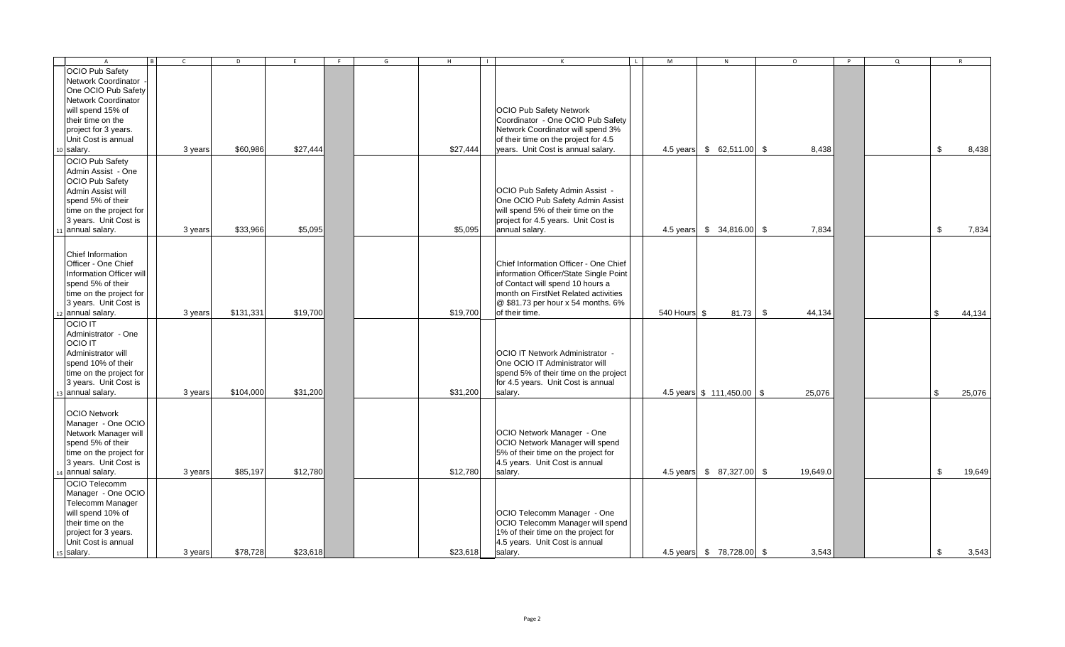| $\overline{A}$           | $\overline{R}$<br>$\mathsf{C}$ | D         | E        | F | G | H        | $\blacksquare$ | $\mathsf{K}$                           | $\mathsf{L}$ | M            | N                                       | $\circ$  | $\mathsf{P}$ | $\Omega$ |               | R      |
|--------------------------|--------------------------------|-----------|----------|---|---|----------|----------------|----------------------------------------|--------------|--------------|-----------------------------------------|----------|--------------|----------|---------------|--------|
| <b>OCIO Pub Safety</b>   |                                |           |          |   |   |          |                |                                        |              |              |                                         |          |              |          |               |        |
| Network Coordinator      |                                |           |          |   |   |          |                |                                        |              |              |                                         |          |              |          |               |        |
| One OCIO Pub Safety      |                                |           |          |   |   |          |                |                                        |              |              |                                         |          |              |          |               |        |
| Network Coordinator      |                                |           |          |   |   |          |                |                                        |              |              |                                         |          |              |          |               |        |
| will spend 15% of        |                                |           |          |   |   |          |                | <b>OCIO Pub Safety Network</b>         |              |              |                                         |          |              |          |               |        |
| their time on the        |                                |           |          |   |   |          |                | Coordinator - One OCIO Pub Safety      |              |              |                                         |          |              |          |               |        |
| project for 3 years.     |                                |           |          |   |   |          |                | Network Coordinator will spend 3%      |              |              |                                         |          |              |          |               |        |
| Unit Cost is annual      |                                |           |          |   |   |          |                | of their time on the project for 4.5   |              |              |                                         |          |              |          |               |        |
| 10 salary.               | 3 years                        | \$60,986  | \$27,444 |   |   | \$27,444 |                | years. Unit Cost is annual salary.     |              |              | 4.5 years \$ 62,511.00 \$               | 8,438    |              |          | \$            | 8,438  |
|                          |                                |           |          |   |   |          |                |                                        |              |              |                                         |          |              |          |               |        |
| OCIO Pub Safety          |                                |           |          |   |   |          |                |                                        |              |              |                                         |          |              |          |               |        |
| Admin Assist - One       |                                |           |          |   |   |          |                |                                        |              |              |                                         |          |              |          |               |        |
| <b>OCIO Pub Safetv</b>   |                                |           |          |   |   |          |                |                                        |              |              |                                         |          |              |          |               |        |
| Admin Assist will        |                                |           |          |   |   |          |                | OCIO Pub Safety Admin Assist -         |              |              |                                         |          |              |          |               |        |
| spend 5% of their        |                                |           |          |   |   |          |                | One OCIO Pub Safety Admin Assist       |              |              |                                         |          |              |          |               |        |
| time on the project for  |                                |           |          |   |   |          |                | will spend 5% of their time on the     |              |              |                                         |          |              |          |               |        |
| 3 years. Unit Cost is    |                                |           |          |   |   |          |                | project for 4.5 years. Unit Cost is    |              |              |                                         |          |              |          |               |        |
| 11 annual salary.        | 3 years                        | \$33,966  | \$5,095  |   |   | \$5,095  |                | annual salary.                         |              |              | 4.5 years \$ 34,816.00 \$               | 7,834    |              |          | \$            | 7,834  |
|                          |                                |           |          |   |   |          |                |                                        |              |              |                                         |          |              |          |               |        |
| Chief Information        |                                |           |          |   |   |          |                |                                        |              |              |                                         |          |              |          |               |        |
| Officer - One Chief      |                                |           |          |   |   |          |                | Chief Information Officer - One Chief  |              |              |                                         |          |              |          |               |        |
| Information Officer will |                                |           |          |   |   |          |                | information Officer/State Single Point |              |              |                                         |          |              |          |               |        |
| spend 5% of their        |                                |           |          |   |   |          |                | of Contact will spend 10 hours a       |              |              |                                         |          |              |          |               |        |
| time on the project for  |                                |           |          |   |   |          |                | month on FirstNet Related activities   |              |              |                                         |          |              |          |               |        |
| 3 years. Unit Cost is    |                                |           |          |   |   |          |                | @ \$81.73 per hour x 54 months. 6%     |              |              |                                         |          |              |          |               |        |
| 12 annual salary.        | 3 years                        | \$131,331 | \$19,700 |   |   | \$19,700 |                | of their time.                         |              | 540 Hours \$ | $81.73$ \$                              | 44,134   |              |          | \$            | 44,134 |
| <b>OCIO IT</b>           |                                |           |          |   |   |          |                |                                        |              |              |                                         |          |              |          |               |        |
| Administrator - One      |                                |           |          |   |   |          |                |                                        |              |              |                                         |          |              |          |               |        |
| <b>OCIO IT</b>           |                                |           |          |   |   |          |                |                                        |              |              |                                         |          |              |          |               |        |
| Administrator will       |                                |           |          |   |   |          |                | <b>OCIO IT Network Administrator -</b> |              |              |                                         |          |              |          |               |        |
| spend 10% of their       |                                |           |          |   |   |          |                | One OCIO IT Administrator will         |              |              |                                         |          |              |          |               |        |
|                          |                                |           |          |   |   |          |                |                                        |              |              |                                         |          |              |          |               |        |
| time on the project for  |                                |           |          |   |   |          |                | spend 5% of their time on the project  |              |              |                                         |          |              |          |               |        |
| 3 years. Unit Cost is    |                                |           |          |   |   |          |                | for 4.5 years. Unit Cost is annual     |              |              |                                         |          |              |          |               |        |
| 13 annual salary.        | 3 years                        | \$104,000 | \$31,200 |   |   | \$31,200 |                | salary.                                |              |              | 4.5 years $\frac{1}{2}$ 111,450.00 \ \$ | 25,076   |              |          | $\mathbb{S}$  | 25,076 |
|                          |                                |           |          |   |   |          |                |                                        |              |              |                                         |          |              |          |               |        |
| <b>OCIO Network</b>      |                                |           |          |   |   |          |                |                                        |              |              |                                         |          |              |          |               |        |
| Manager - One OCIO       |                                |           |          |   |   |          |                |                                        |              |              |                                         |          |              |          |               |        |
| Network Manager will     |                                |           |          |   |   |          |                | OCIO Network Manager - One             |              |              |                                         |          |              |          |               |        |
| spend 5% of their        |                                |           |          |   |   |          |                | OCIO Network Manager will spend        |              |              |                                         |          |              |          |               |        |
| time on the project for  |                                |           |          |   |   |          |                | 5% of their time on the project for    |              |              |                                         |          |              |          |               |        |
| 3 years. Unit Cost is    |                                |           |          |   |   |          |                | 4.5 years. Unit Cost is annual         |              |              |                                         |          |              |          |               |        |
| 14 annual salary.        | 3 years                        | \$85,197  | \$12,780 |   |   | \$12,780 |                | salary.                                |              |              | 4.5 years \$ 87,327.00 \$               | 19,649.0 |              |          | $\mathfrak s$ | 19,649 |
| OCIO Telecomm            |                                |           |          |   |   |          |                |                                        |              |              |                                         |          |              |          |               |        |
| Manager - One OCIO       |                                |           |          |   |   |          |                |                                        |              |              |                                         |          |              |          |               |        |
| <b>Telecomm Manager</b>  |                                |           |          |   |   |          |                |                                        |              |              |                                         |          |              |          |               |        |
| will spend 10% of        |                                |           |          |   |   |          |                | OCIO Telecomm Manager - One            |              |              |                                         |          |              |          |               |        |
| their time on the        |                                |           |          |   |   |          |                | OCIO Telecomm Manager will spend       |              |              |                                         |          |              |          |               |        |
| project for 3 years.     |                                |           |          |   |   |          |                | 1% of their time on the project for    |              |              |                                         |          |              |          |               |        |
| Unit Cost is annual      |                                |           |          |   |   |          |                | 4.5 years. Unit Cost is annual         |              |              |                                         |          |              |          |               |        |
| 15 salary.               | 3 years                        | \$78,728  | \$23,618 |   |   | \$23,618 |                | salary.                                |              |              | 4.5 years \$ 78,728.00 \$               | 3,543    |              |          | $\mathbb{S}$  | 3,543  |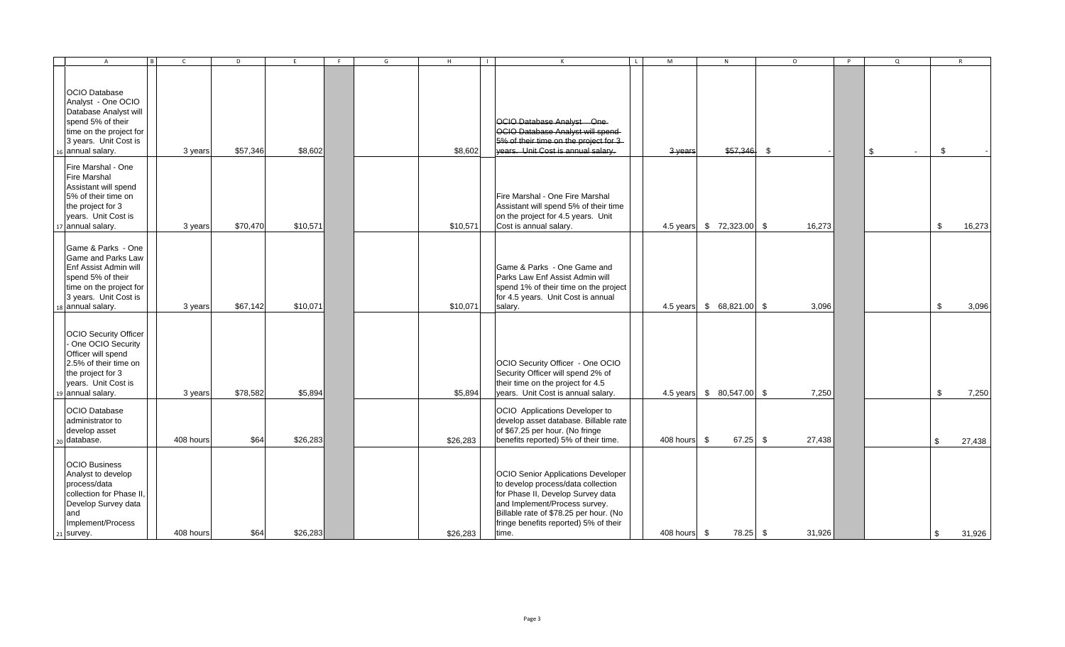| $\overline{A}$                                                                                                                                                         | $\mathsf{C}$ | D        | F.       | F | G | H        | $\blacksquare$ | $\mathsf{K}$                                                                                                                                                                                                                                      | $\mathbf{L}$ | M            | N                         | $\circ$ | P | $\Omega$     |              | $\mathsf{R}$ |
|------------------------------------------------------------------------------------------------------------------------------------------------------------------------|--------------|----------|----------|---|---|----------|----------------|---------------------------------------------------------------------------------------------------------------------------------------------------------------------------------------------------------------------------------------------------|--------------|--------------|---------------------------|---------|---|--------------|--------------|--------------|
| <b>OCIO</b> Database<br>Analyst - One OCIO<br>Database Analyst will<br>spend 5% of their<br>time on the project for<br>3 years. Unit Cost is<br>16 annual salary.      | 3 years      | \$57,346 | \$8,602  |   |   | \$8,602  |                | OCIO Database Analyst One-<br>OCIO Database Analyst will spend<br>5% of their time on the project for 3-<br>years. Unit Cost is annual salary.                                                                                                    |              | 3 years      |                           |         |   | \$<br>$\sim$ | \$           |              |
| Fire Marshal - One<br><b>Fire Marshal</b><br>Assistant will spend<br>5% of their time on<br>the project for 3<br>years. Unit Cost is<br>17 annual salary.              | 3 years      | \$70,470 | \$10,571 |   |   | \$10,571 |                | Fire Marshal - One Fire Marshal<br>Assistant will spend 5% of their time<br>on the project for 4.5 years. Unit<br>Cost is annual salary.                                                                                                          |              | 4.5 years    | $$72,323.00$ \\$          | 16,273  |   |              | \$           | 16,273       |
| Game & Parks - One<br><b>Game and Parks Law</b><br>Enf Assist Admin will<br>spend 5% of their<br>time on the project for<br>3 years. Unit Cost is<br>18 annual salary. | 3 years      | \$67,142 | \$10,071 |   |   | \$10,071 |                | Game & Parks - One Game and<br>Parks Law Enf Assist Admin will<br>spend 1% of their time on the project<br>for 4.5 years. Unit Cost is annual<br>salary.                                                                                          |              |              | 4.5 years \$ 68,821.00 \$ | 3,096   |   |              | \$           | 3,096        |
| <b>OCIO</b> Security Officer<br>- One OCIO Security<br>Officer will spend<br>2.5% of their time on<br>the project for 3<br>years. Unit Cost is<br>19 annual salary.    | 3 years      | \$78,582 | \$5,894  |   |   | \$5,894  |                | OCIO Security Officer - One OCIO<br>Security Officer will spend 2% of<br>their time on the project for 4.5<br>years. Unit Cost is annual salary.                                                                                                  |              | 4.5 years    | $$80,547.00$ \\$          | 7,250   |   |              | $\mathbb{S}$ | 7,250        |
| <b>OCIO Database</b><br>administrator to<br>develop asset<br><sub>20</sub> database.                                                                                   | 408 hours    | \$64     | \$26,283 |   |   | \$26,283 |                | OCIO Applications Developer to<br>develop asset database. Billable rate<br>of \$67.25 per hour. (No fringe<br>benefits reported) 5% of their time.                                                                                                |              | 408 hours \$ | $67.25$ \$                | 27,438  |   |              | \$           | 27,438       |
| <b>OCIO Business</b><br>Analyst to develop<br>process/data<br>collection for Phase II.<br>Develop Survey data<br>and<br>Implement/Process<br>21 survey.                | 408 hours    | \$64     | \$26,283 |   |   | \$26,283 |                | <b>OCIO Senior Applications Developer</b><br>to develop process/data collection<br>for Phase II, Develop Survey data<br>and Implement/Process survey.<br>Billable rate of \$78.25 per hour. (No<br>fringe benefits reported) 5% of their<br>time. |              | 408 hours \$ | 78.25 \$                  | 31,926  |   |              | \$           | 31,926       |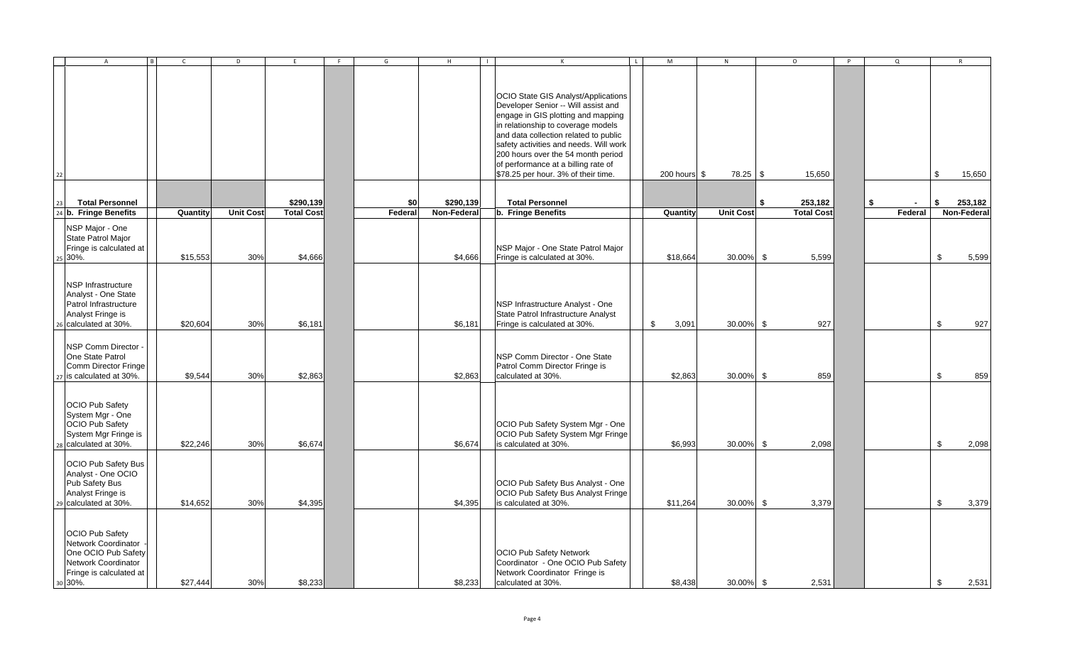|    | $\overline{A}$                                                                                                                    |          | D                |                   | G       | H           |                                                                                                                                                                                                                                                                                                                                                                      | M            | N                | $\circ$           | P | $\mathsf Q$ |     |             |        |
|----|-----------------------------------------------------------------------------------------------------------------------------------|----------|------------------|-------------------|---------|-------------|----------------------------------------------------------------------------------------------------------------------------------------------------------------------------------------------------------------------------------------------------------------------------------------------------------------------------------------------------------------------|--------------|------------------|-------------------|---|-------------|-----|-------------|--------|
| 22 |                                                                                                                                   |          |                  |                   |         |             | <b>OCIO State GIS Analyst/Applications</b><br>Developer Senior -- Will assist and<br>engage in GIS plotting and mapping<br>in relationship to coverage models<br>and data collection related to public<br>safety activities and needs. Will work<br>200 hours over the 54 month period<br>of performance at a billing rate of<br>\$78.25 per hour. 3% of their time. | 200 hours \$ | $78.25$ \$       | 15,650            |   |             | \$. |             | 15,650 |
|    |                                                                                                                                   |          |                  |                   |         |             |                                                                                                                                                                                                                                                                                                                                                                      |              |                  |                   |   |             |     |             |        |
| 23 | <b>Total Personnel</b>                                                                                                            |          |                  | \$290,139         | \$0     | \$290,139   | <b>Total Personnel</b>                                                                                                                                                                                                                                                                                                                                               |              |                  | \$<br>253,182     |   | \$          | \$  | 253,182     |        |
|    | 24 b. Fringe Benefits                                                                                                             | Quantity | <b>Unit Cost</b> | <b>Total Cost</b> | Federal | Non-Federal | b. Fringe Benefits                                                                                                                                                                                                                                                                                                                                                   | Quantity     | <b>Unit Cost</b> | <b>Total Cost</b> |   | Federal     |     | Non-Federal |        |
|    | NSP Major - One<br>State Patrol Major<br>Fringe is calculated at<br>25 30%.                                                       | \$15,553 | 30%              | \$4,666           |         | \$4,666     | NSP Major - One State Patrol Major<br>Fringe is calculated at 30%.                                                                                                                                                                                                                                                                                                   | \$18,664     | 30.00%           | \$<br>5,599       |   |             | \$  |             | 5,599  |
|    | <b>NSP Infrastructure</b><br>Analyst - One State<br>Patrol Infrastructure<br>Analyst Fringe is<br>26 calculated at 30%.           | \$20,604 | 30%              | \$6,181           |         | \$6,181     | NSP Infrastructure Analyst - One<br>State Patrol Infrastructure Analyst<br>Fringe is calculated at 30%.                                                                                                                                                                                                                                                              | \$<br>3,091  | 30.00%           | \$<br>927         |   |             | \$  |             | 927    |
|    | NSP Comm Director -<br>One State Patrol<br>Comm Director Fringe<br>27 is calculated at 30%.                                       | \$9,544  | 30%              | \$2,863           |         | \$2,863     | NSP Comm Director - One State<br>Patrol Comm Director Fringe is<br>calculated at 30%.                                                                                                                                                                                                                                                                                | \$2,863      | 30.00% \$        | 859               |   |             | \$  |             | 859    |
|    | OCIO Pub Safety<br>System Mgr - One<br><b>OCIO Pub Safety</b><br>System Mgr Fringe is<br>28 calculated at 30%.                    | \$22,246 | 30%              | \$6,674           |         | \$6,674     | OCIO Pub Safety System Mgr - One<br>OCIO Pub Safety System Mgr Fringe<br>is calculated at 30%.                                                                                                                                                                                                                                                                       | \$6,993      | 30.00%           | \$<br>2,098       |   |             | \$  |             | 2,098  |
|    | OCIO Pub Safety Bus<br>Analyst - One OCIO<br>Pub Safety Bus<br>Analyst Fringe is<br>29 calculated at 30%.                         | \$14,652 | 30%              | \$4,395           |         | \$4,395     | OCIO Pub Safety Bus Analyst - One<br>OCIO Pub Safety Bus Analyst Fringe<br>is calculated at 30%.                                                                                                                                                                                                                                                                     | \$11,264     | 30.00%           | \$<br>3,379       |   |             | \$  |             | 3,379  |
|    | <b>OCIO Pub Safety</b><br>Network Coordinator<br>One OCIO Pub Safety<br>Network Coordinator<br>Fringe is calculated at<br>30 30%. | \$27,444 | 30%              | \$8,233           |         | \$8,233     | <b>OCIO Pub Safety Network</b><br>Coordinator - One OCIO Pub Safety<br>Network Coordinator Fringe is<br>calculated at 30%.                                                                                                                                                                                                                                           | \$8,438      | 30.00% \$        | 2,531             |   |             | \$  |             | 2,531  |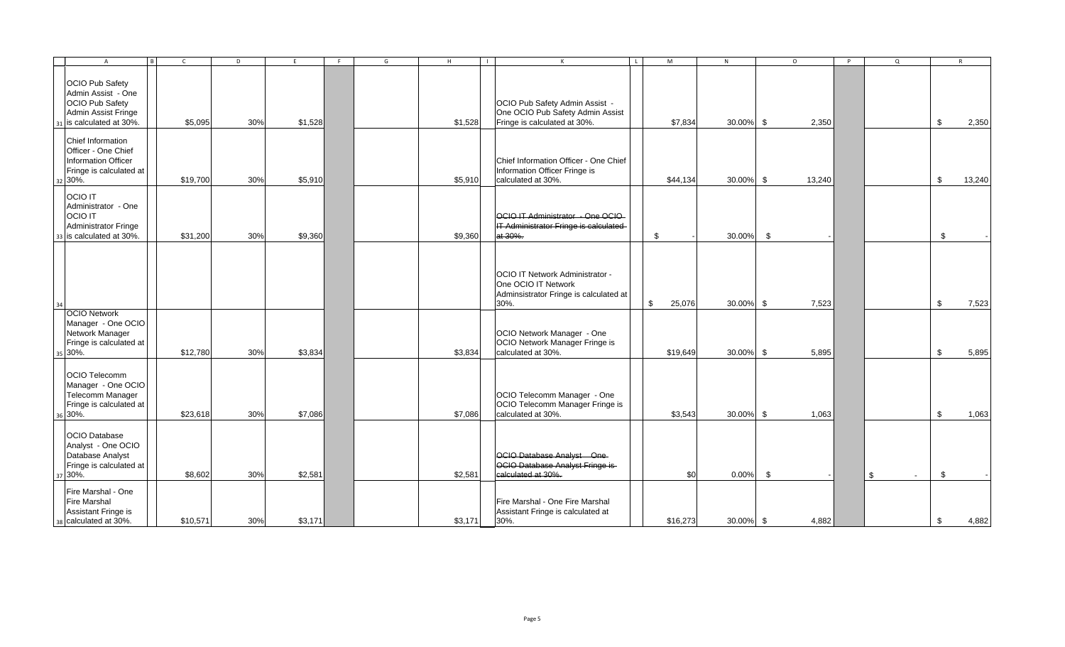|    | $\overline{A}$                                                                                                  | $\overline{B}$ | $\mathsf{C}$ | D   | F       | F | G | H       | $\blacksquare$ | $\mathsf{K}$                                                                                             | $\mathsf{L}$ | M        | N            |               | $\circ$ | P | $\Omega$             | R            |
|----|-----------------------------------------------------------------------------------------------------------------|----------------|--------------|-----|---------|---|---|---------|----------------|----------------------------------------------------------------------------------------------------------|--------------|----------|--------------|---------------|---------|---|----------------------|--------------|
|    | <b>OCIO Pub Safety</b><br>Admin Assist - One<br>OCIO Pub Safety<br>Admin Assist Fringe<br>is calculated at 30%. |                | \$5,095      | 30% | \$1,528 |   |   | \$1,528 |                | OCIO Pub Safety Admin Assist -<br>One OCIO Pub Safety Admin Assist<br>Fringe is calculated at 30%.       |              | \$7,834  | 30.00% \$    |               | 2,350   |   |                      | \$<br>2,350  |
|    | Chief Information<br>Officer - One Chief<br>Information Officer<br>Fringe is calculated at<br>32 30%.           |                | \$19,700     | 30% | \$5,910 |   |   | \$5,910 |                | Chief Information Officer - One Chief<br>Information Officer Fringe is<br>calculated at 30%.             |              | \$44,134 | $30.00\%$ \$ |               | 13,240  |   |                      | \$<br>13,240 |
|    | <b>OCIO IT</b><br>Administrator - One<br><b>OCIO IT</b><br>Administrator Fringe<br>is calculated at 30%.        |                | \$31,200     | 30% | \$9,360 |   |   | \$9,360 |                | OCIO IT Administrator - One OCIO-<br>IT Administrator Fringe is calculated<br>at 30%.                    |              | \$       | 30.00%       | \$            |         |   |                      | \$           |
| 34 |                                                                                                                 |                |              |     |         |   |   |         |                | OCIO IT Network Administrator -<br>One OCIO IT Network<br>Adminsistrator Fringe is calculated at<br>30%. | \$           | 25,076   | 30.00% \$    |               | 7,523   |   |                      | \$<br>7,523  |
|    | <b>OCIO Network</b><br>Manager - One OCIO<br>Network Manager<br>Fringe is calculated at<br>35 30%.              |                | \$12,780     | 30% | \$3,834 |   |   | \$3,834 |                | OCIO Network Manager - One<br>OCIO Network Manager Fringe is<br>calculated at 30%.                       |              | \$19,649 | 30.00% \$    |               | 5,895   |   |                      | \$<br>5,895  |
|    | OCIO Telecomm<br>Manager - One OCIO<br>Telecomm Manager<br>Fringe is calculated at<br>30%.                      |                | \$23,618     | 30% | \$7,086 |   |   | \$7,086 |                | OCIO Telecomm Manager - One<br>OCIO Telecomm Manager Fringe is<br>calculated at 30%.                     |              | \$3,543  | 30.00% \$    |               | 1,063   |   |                      | \$<br>1,063  |
|    | <b>OCIO</b> Database<br>Analyst - One OCIO<br>Database Analyst<br>Fringe is calculated at<br>37 30%.            |                | \$8,602      | 30% | \$2,581 |   |   | \$2,581 |                | OCIO Database Analyst One-<br>OCIO Database Analyst Fringe is-<br>calculated at 30%.                     |              | \$0      | 0.00%        | $\mathfrak s$ |         |   | \$<br>$\overline{a}$ | \$           |
|    | Fire Marshal - One<br><b>Fire Marshal</b><br>Assistant Fringe is<br>calculated at 30%.                          |                | \$10,571     | 30% | \$3,171 |   |   | \$3,171 |                | Fire Marshal - One Fire Marshal<br>Assistant Fringe is calculated at<br>30%.                             |              | \$16,273 | 30.00% \$    |               | 4,882   |   |                      | \$<br>4,882  |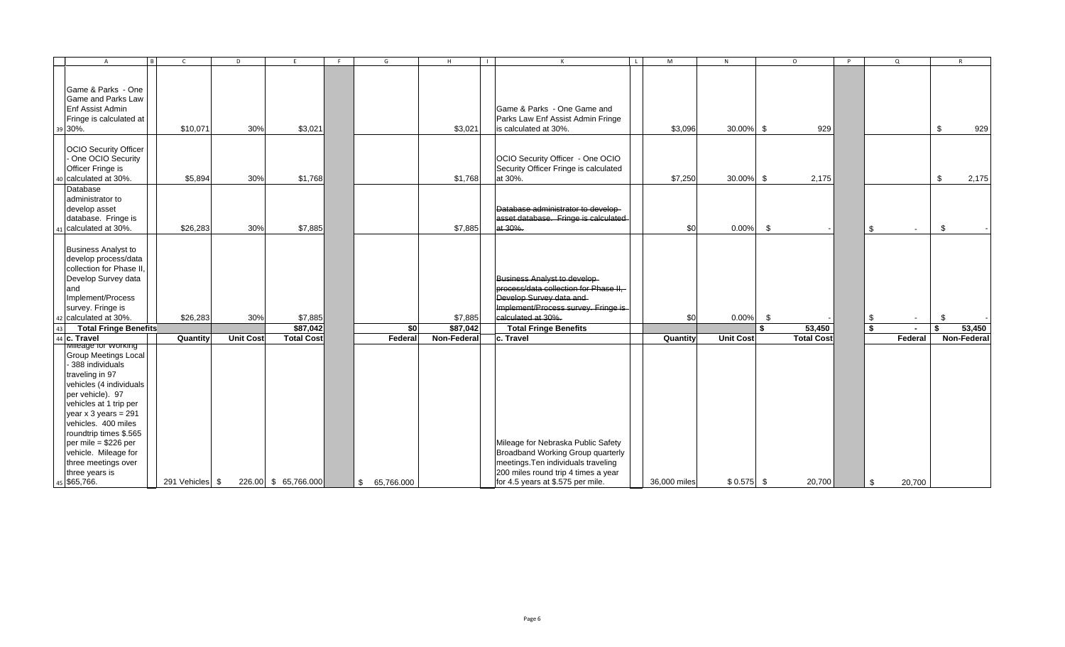| $\overline{A}$                                                                                                                                                                                                                                                                                                                                              |                 | D                | E                    | F. | G                | H           | $\mathsf{k}$                                                                                                                                                                               | $\mathsf{L}$ | M            | N                |                | $\circ$           | $\mathsf{P}$ |     | $\Omega$ |               | $\mathbf{R}$ |
|-------------------------------------------------------------------------------------------------------------------------------------------------------------------------------------------------------------------------------------------------------------------------------------------------------------------------------------------------------------|-----------------|------------------|----------------------|----|------------------|-------------|--------------------------------------------------------------------------------------------------------------------------------------------------------------------------------------------|--------------|--------------|------------------|----------------|-------------------|--------------|-----|----------|---------------|--------------|
| Game & Parks - One<br><b>Game and Parks Law</b><br>Enf Assist Admin<br>Fringe is calculated at<br>39 30%.                                                                                                                                                                                                                                                   | \$10,071        | 30%              | \$3,021              |    |                  | \$3,021     | Game & Parks - One Game and<br>Parks Law Enf Assist Admin Fringe<br>is calculated at 30%.                                                                                                  |              | \$3,096      | 30.00% \$        |                | 929               |              |     |          | $\mathfrak s$ | 929          |
| <b>OCIO Security Officer</b><br>One OCIO Security<br>Officer Fringe is<br>calculated at 30%.<br>40                                                                                                                                                                                                                                                          | \$5,894         | 30%              | \$1,768              |    |                  | \$1,768     | OCIO Security Officer - One OCIO<br>Security Officer Fringe is calculated<br>at 30%.                                                                                                       |              | \$7,250      | 30.00% \$        |                | 2,175             |              |     |          | \$            | 2,175        |
| Database<br>administrator to<br>develop asset<br>database. Fringe is<br>41 calculated at 30%.                                                                                                                                                                                                                                                               | \$26,283        | 30%              | \$7,885              |    |                  | \$7,885     | Database administrator to develop-<br>asset database. Fringe is calculated<br>at 30%.                                                                                                      |              | \$0          | 0.00%            | $\mathfrak{F}$ |                   |              | -\$ |          | \$            |              |
| <b>Business Analyst to</b><br>develop process/data<br>collection for Phase II,<br>Develop Survey data<br>and<br>Implement/Process<br>survey. Fringe is<br>42 calculated at 30%.                                                                                                                                                                             | \$26,283        | 30%              | \$7,885              |    |                  | \$7,885     | Business Analyst to develop-<br>process/data collection for Phase II,<br>Develop Survey data and<br>Implement/Process survey. Fringe is<br>calculated at 30%.                              |              | \$0          | $0.00\%$         | - \$           |                   |              | \$  | $\sim$   | \$.           |              |
| 43<br><b>Total Fringe Benefits</b>                                                                                                                                                                                                                                                                                                                          |                 |                  | \$87,042             |    | \$0              | \$87,042    | <b>Total Fringe Benefits</b>                                                                                                                                                               |              |              |                  | \$             | 53,450            |              | \$  |          | \$            | 53,450       |
| 44 c. Travel                                                                                                                                                                                                                                                                                                                                                | Quantity        | <b>Unit Cost</b> | <b>Total Cost</b>    |    | Federa           | Non-Federal | c. Travel                                                                                                                                                                                  |              | Quantity     | <b>Unit Cost</b> |                | <b>Total Cost</b> |              |     | Federal  |               | Non-Federal  |
| ivilleage for vvorking<br><b>Group Meetings Local</b><br>- 388 individuals<br>traveling in 97<br>vehicles (4 individuals<br>per vehicle). 97<br>vehicles at 1 trip per<br>year $x 3$ years = 291<br>vehicles. 400 miles<br>roundtrip times \$.565<br>per mile = $$226$ per<br>vehicle. Mileage for<br>three meetings over<br>three years is<br>45 \$65,766. | 291 Vehicles \$ |                  | 226.00 \$ 65,766.000 |    | 65,766.000<br>\$ |             | Mileage for Nebraska Public Safety<br>Broadband Working Group quarterly<br>meetings. Ten individuals traveling<br>200 miles round trip 4 times a year<br>for 4.5 years at \$.575 per mile. |              | 36,000 miles | $$0.575$ \ \$    |                | 20,700            |              | \$  | 20,700   |               |              |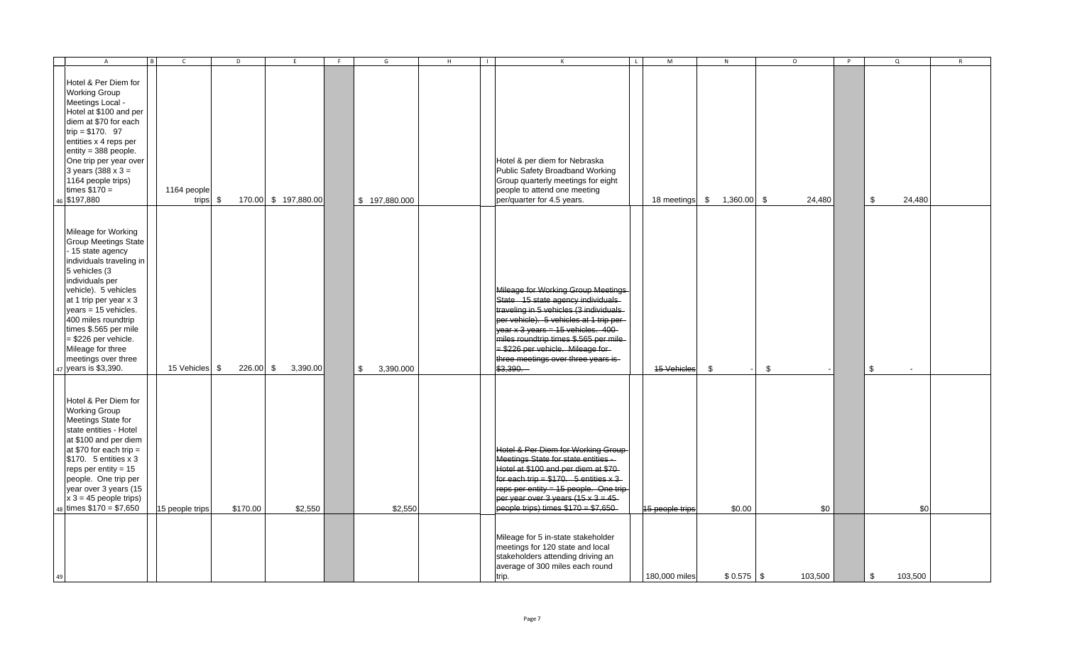| $\overline{A}$<br>$\vert$ B                                                                                                                                                                                                                                                                                                                                      | $\mathsf{C}$            | D        | F.                         | F. | G                          | H | $\mathsf{K}$                                                                                                                                                                                                                                                                                                                         | $\mathbf{L}$ | M                  | N        | $\circ$      | <b>P</b> | $\Omega$       | $\mathsf{R}$ |
|------------------------------------------------------------------------------------------------------------------------------------------------------------------------------------------------------------------------------------------------------------------------------------------------------------------------------------------------------------------|-------------------------|----------|----------------------------|----|----------------------------|---|--------------------------------------------------------------------------------------------------------------------------------------------------------------------------------------------------------------------------------------------------------------------------------------------------------------------------------------|--------------|--------------------|----------|--------------|----------|----------------|--------------|
| Hotel & Per Diem for<br><b>Working Group</b><br>Meetings Local -<br>Hotel at \$100 and per<br>diem at \$70 for each<br>trip = $$170.97$<br>entities x 4 reps per<br>entity = 388 people.<br>One trip per year over<br>3 years $(388 \times 3 =$<br>1164 people trips)<br>times $$170 =$<br>46 \$197,880                                                          | 1164 people<br>trips \$ |          | 170.00 \$ 197,880.00       |    | \$197,880.000              |   | Hotel & per diem for Nebraska<br>Public Safety Broadband Working<br>Group quarterly meetings for eight<br>people to attend one meeting<br>per/quarter for 4.5 years.                                                                                                                                                                 |              | 18 meetings \$     | 1,360.00 | \$<br>24,480 |          | $\,$<br>24,480 |              |
| Mileage for Working<br><b>Group Meetings State</b><br>- 15 state agency<br>individuals traveling in<br>5 vehicles (3<br>individuals per<br>vehicle). 5 vehicles<br>at 1 trip per year x 3<br>$years = 15$ vehicles.<br>400 miles roundtrip<br>times \$.565 per mile<br>$= $226$ per vehicle.<br>Mileage for three<br>meetings over three<br>47 years is \$3,390. | 15 Vehicles \$          | 226.00   | $\mathfrak{F}$<br>3,390.00 |    | $\mathfrak s$<br>3,390.000 |   | Mileage for Working Group Meetings<br>State 15 state agency individuals<br>traveling in 5 vehicles (3 individuals<br>per vehicle). 5 vehicles at 1 trip per<br>year $x$ 3 years = 15 vehicles. 400-<br>miles roundtrip times \$.565 per mile-<br>= \$226 per vehicle. Mileage for<br>three meetings over three years is-<br>\$3,390. |              | <b>15 Vehicles</b> | \$       | \$           |          | \$             |              |
| Hotel & Per Diem for<br><b>Working Group</b><br>Meetings State for<br>state entities - Hotel<br>at \$100 and per diem<br>at \$70 for each trip $=$<br>$$170.$ 5 entities $\times 3$<br>reps per entity = $15$<br>people. One trip per<br>year over 3 years (15<br>$x 3 = 45$ people trips)<br>48 times $$170 = $7,650$                                           | 15 people trips         | \$170.00 | \$2,550                    |    | \$2,550                    |   | Hotel & Per Diem for Working Group<br>Meetings State for state entities -<br>Hotel at \$100 and per diem at \$70-<br>for each trip = $$170.5$ entities x 3<br>reps per entity = 15 people. One trip-<br>per year over $3$ years (15 x $3 = 45$<br>people trips) times $$170 = $7,650$                                                |              | 15 people trips    | \$0.00   | \$0          |          | \$0            |              |
| 49                                                                                                                                                                                                                                                                                                                                                               |                         |          |                            |    |                            |   | Mileage for 5 in-state stakeholder<br>meetings for 120 state and local<br>stakeholders attending driving an<br>average of 300 miles each round<br>trip.                                                                                                                                                                              |              | 180,000 miles      |          | 103,500      |          | \$<br>103,500  |              |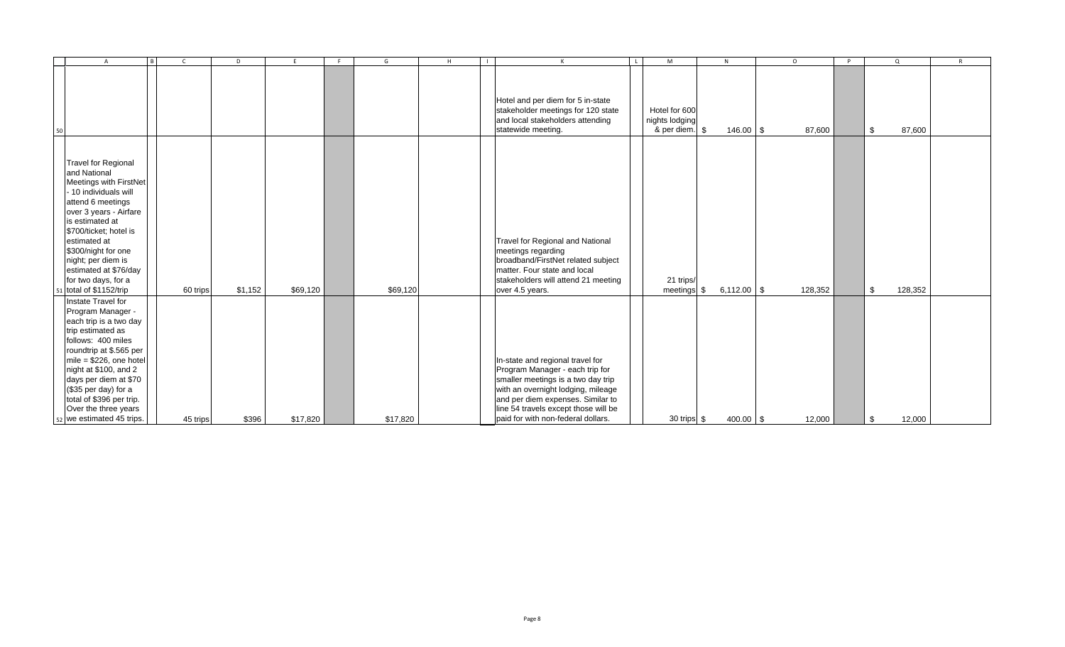|    | $\overline{A}$<br>R                                                                                                                                                                                                                                                                                                               | $\mathsf{C}$ | D       | F.       | - F | G        | H | $\Box$<br>$\mathsf{K}$                                                                                                                                                                                                                                             | $\mathbf{L}$ | M                                                 | N             | $\Omega$ | P | $\Omega$      | $\mathsf{R}$ |
|----|-----------------------------------------------------------------------------------------------------------------------------------------------------------------------------------------------------------------------------------------------------------------------------------------------------------------------------------|--------------|---------|----------|-----|----------|---|--------------------------------------------------------------------------------------------------------------------------------------------------------------------------------------------------------------------------------------------------------------------|--------------|---------------------------------------------------|---------------|----------|---|---------------|--------------|
| 50 |                                                                                                                                                                                                                                                                                                                                   |              |         |          |     |          |   | Hotel and per diem for 5 in-state<br>stakeholder meetings for 120 state<br>and local stakeholders attending<br>statewide meeting.                                                                                                                                  |              | Hotel for 600<br>nights lodging<br>& per diem. \$ | $146.00$ \$   | 87,600   |   | \$<br>87,600  |              |
|    | <b>Travel for Regional</b><br>and National<br>Meetings with FirstNet<br>- 10 individuals will<br>attend 6 meetings<br>over 3 years - Airfare<br>is estimated at<br>\$700/ticket; hotel is<br>estimated at<br>\$300/night for one<br>night; per diem is<br>estimated at \$76/day<br>for two days, for a<br>51 total of \$1152/trip | 60 trips     | \$1,152 | \$69,120 |     | \$69,120 |   | Travel for Regional and National<br>meetings regarding<br>broadband/FirstNet related subject<br>matter. Four state and local<br>stakeholders will attend 21 meeting<br>over 4.5 years.                                                                             |              | 21 trips/<br>meetings \$                          | $6,112.00$ \$ | 128,352  |   | \$<br>128,352 |              |
|    | Instate Travel for<br>Program Manager -<br>each trip is a two day<br>trip estimated as<br>follows: 400 miles<br>roundtrip at \$.565 per<br>mile = $$226$ , one hotel<br>night at \$100, and 2<br>days per diem at \$70<br>(\$35 per day) for a<br>total of \$396 per trip.<br>Over the three years<br>52 we estimated 45 trips.   | 45 trips     | \$396   | \$17,820 |     | \$17,820 |   | In-state and regional travel for<br>Program Manager - each trip for<br>smaller meetings is a two day trip<br>with an overnight lodging, mileage<br>and per diem expenses. Similar to<br>line 54 travels except those will be<br>paid for with non-federal dollars. |              | 30 trips \$                                       | 400.00 \$     | 12,000   |   | \$<br>12,000  |              |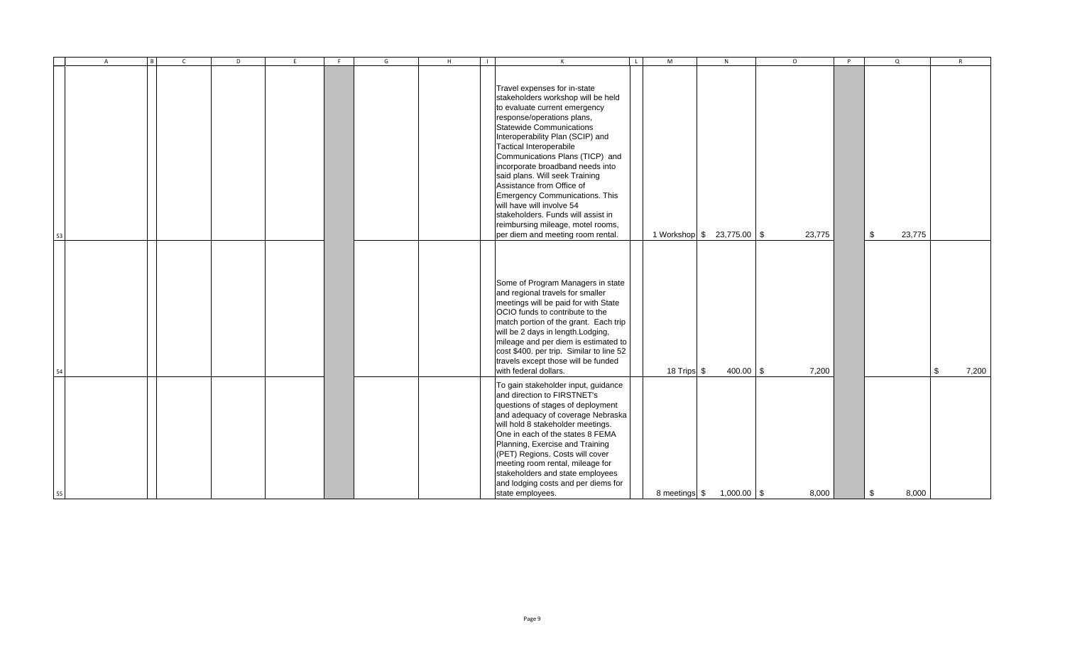|    | A | B | $\mathsf{C}$ | D | E | F | G | H<br>$\Box$ | $\mathsf{K}$                                                                                                                                                                                                                                                                                                                                                                                                                                                                                                                                                           | L | M             | N                          | $\circ$ | P | $\overline{a}$ | R                 |
|----|---|---|--------------|---|---|---|---|-------------|------------------------------------------------------------------------------------------------------------------------------------------------------------------------------------------------------------------------------------------------------------------------------------------------------------------------------------------------------------------------------------------------------------------------------------------------------------------------------------------------------------------------------------------------------------------------|---|---------------|----------------------------|---------|---|----------------|-------------------|
| 53 |   |   |              |   |   |   |   |             | Travel expenses for in-state<br>stakeholders workshop will be held<br>to evaluate current emergency<br>response/operations plans,<br><b>Statewide Communications</b><br>Interoperability Plan (SCIP) and<br><b>Tactical Interoperabile</b><br>Communications Plans (TICP) and<br>incorporate broadband needs into<br>said plans. Will seek Training<br>Assistance from Office of<br><b>Emergency Communications. This</b><br>will have will involve 54<br>stakeholders. Funds will assist in<br>reimbursing mileage, motel rooms,<br>per diem and meeting room rental. |   |               | 1 Workshop \$ 23,775.00 \$ | 23,775  |   | \$<br>23,775   |                   |
| 54 |   |   |              |   |   |   |   |             | Some of Program Managers in state<br>and regional travels for smaller<br>meetings will be paid for with State<br>OCIO funds to contribute to the<br>match portion of the grant. Each trip<br>will be 2 days in length. Lodging,<br>mileage and per diem is estimated to<br>cost \$400. per trip. Similar to line 52<br>travels except those will be funded<br>with federal dollars.                                                                                                                                                                                    |   | 18 Trips \$   | $400.00$ \$                | 7,200   |   |                | 7,200<br><b>S</b> |
| 55 |   |   |              |   |   |   |   |             | To gain stakeholder input, guidance<br>and direction to FIRSTNET's<br>questions of stages of deployment<br>and adequacy of coverage Nebraska<br>will hold 8 stakeholder meetings.<br>One in each of the states 8 FEMA<br>Planning, Exercise and Training<br>(PET) Regions. Costs will cover<br>meeting room rental, mileage for<br>stakeholders and state employees<br>and lodging costs and per diems for<br>state employees.                                                                                                                                         |   | 8 meetings \$ | $1,000.00$ \$              | 8,000   |   | \$<br>8,000    |                   |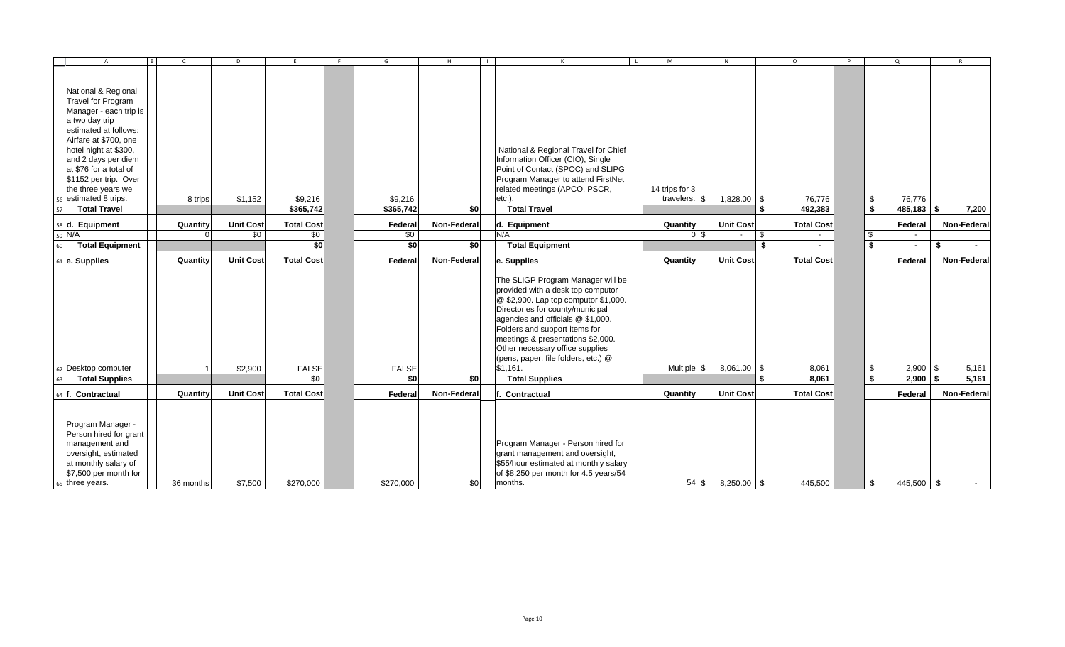|    | $\overline{A}$                                                                                                                                            | B | $\mathsf{C}$ | D                |                     | G                   | H           | $\mathsf{K}$<br>$\mathsf{L}$                                                                                                                                                                                                                                                                                                                                                 | M              | N                      | $\circ$              | P. |          | $\Omega$            | $\mathsf{R}$   |
|----|-----------------------------------------------------------------------------------------------------------------------------------------------------------|---|--------------|------------------|---------------------|---------------------|-------------|------------------------------------------------------------------------------------------------------------------------------------------------------------------------------------------------------------------------------------------------------------------------------------------------------------------------------------------------------------------------------|----------------|------------------------|----------------------|----|----------|---------------------|----------------|
|    |                                                                                                                                                           |   |              |                  |                     |                     |             |                                                                                                                                                                                                                                                                                                                                                                              |                |                        |                      |    |          |                     |                |
|    |                                                                                                                                                           |   |              |                  |                     |                     |             |                                                                                                                                                                                                                                                                                                                                                                              |                |                        |                      |    |          |                     |                |
|    | National & Regional                                                                                                                                       |   |              |                  |                     |                     |             |                                                                                                                                                                                                                                                                                                                                                                              |                |                        |                      |    |          |                     |                |
|    | <b>Travel for Program</b>                                                                                                                                 |   |              |                  |                     |                     |             |                                                                                                                                                                                                                                                                                                                                                                              |                |                        |                      |    |          |                     |                |
|    | Manager - each trip is                                                                                                                                    |   |              |                  |                     |                     |             |                                                                                                                                                                                                                                                                                                                                                                              |                |                        |                      |    |          |                     |                |
|    | a two day trip                                                                                                                                            |   |              |                  |                     |                     |             |                                                                                                                                                                                                                                                                                                                                                                              |                |                        |                      |    |          |                     |                |
|    | estimated at follows:                                                                                                                                     |   |              |                  |                     |                     |             |                                                                                                                                                                                                                                                                                                                                                                              |                |                        |                      |    |          |                     |                |
|    | Airfare at \$700, one                                                                                                                                     |   |              |                  |                     |                     |             |                                                                                                                                                                                                                                                                                                                                                                              |                |                        |                      |    |          |                     |                |
|    | hotel night at \$300,                                                                                                                                     |   |              |                  |                     |                     |             | National & Regional Travel for Chief                                                                                                                                                                                                                                                                                                                                         |                |                        |                      |    |          |                     |                |
|    | and 2 days per diem                                                                                                                                       |   |              |                  |                     |                     |             | Information Officer (CIO), Single                                                                                                                                                                                                                                                                                                                                            |                |                        |                      |    |          |                     |                |
|    | at \$76 for a total of                                                                                                                                    |   |              |                  |                     |                     |             | Point of Contact (SPOC) and SLIPG                                                                                                                                                                                                                                                                                                                                            |                |                        |                      |    |          |                     |                |
|    | \$1152 per trip. Over                                                                                                                                     |   |              |                  |                     |                     |             | Program Manager to attend FirstNet                                                                                                                                                                                                                                                                                                                                           |                |                        |                      |    |          |                     |                |
|    | the three years we                                                                                                                                        |   |              |                  |                     |                     |             | related meetings (APCO, PSCR,                                                                                                                                                                                                                                                                                                                                                | 14 trips for 3 |                        |                      |    |          |                     |                |
|    | estimated 8 trips.                                                                                                                                        |   | 8 trips      | \$1,152          | \$9,216             | \$9,216             |             | etc.)                                                                                                                                                                                                                                                                                                                                                                        | travelers.     | 1,828.00 \$<br>- \$    | 76,776               |    | \$       | 76,776              |                |
| 57 | <b>Total Travel</b>                                                                                                                                       |   |              |                  | \$365,742           | \$365,742           | \$0         | <b>Total Travel</b>                                                                                                                                                                                                                                                                                                                                                          |                |                        | \$<br>492,383        |    | -\$      | $485,183$ \$        | 7,200          |
|    | 58 d. Equipment                                                                                                                                           |   | Quantity     | <b>Unit Cost</b> | <b>Total Cost</b>   | Federal             | Non-Federal | d. Equipment                                                                                                                                                                                                                                                                                                                                                                 | Quantity       | <b>Unit Cost</b>       | <b>Total Cost</b>    |    |          | Federal             | Non-Federal    |
|    | 59 N/A                                                                                                                                                    |   |              | \$0              | \$0                 | \$0                 |             | N/A                                                                                                                                                                                                                                                                                                                                                                          |                | 0 <sup>5</sup>         | \$                   |    | \$       |                     |                |
| 60 | <b>Total Equipment</b>                                                                                                                                    |   |              |                  | $\overline{50}$     | \$0                 | \$0         | <b>Total Equipment</b>                                                                                                                                                                                                                                                                                                                                                       |                |                        | \$                   |    | \$       | $\blacksquare$      | \$<br>$\sim$   |
|    | 61 e. Supplies                                                                                                                                            |   | Quantity     | <b>Unit Cost</b> | <b>Total Cost</b>   | Federal             | Non-Federal | e. Supplies                                                                                                                                                                                                                                                                                                                                                                  | Quantity       | <b>Unit Cost</b>       | <b>Total Cost</b>    |    |          | Federal             | Non-Federal    |
| 63 | 62 Desktop computer<br><b>Total Supplies</b>                                                                                                              |   |              | \$2,900          | <b>FALSE</b><br>\$0 | <b>FALSE</b><br>\$0 | \$0         | The SLIGP Program Manager will be<br>provided with a desk top computor<br>@ \$2,900. Lap top computor \$1,000.<br>Directories for county/municipal<br>agencies and officials @ \$1,000.<br>Folders and support items for<br>meetings & presentations \$2,000.<br>Other necessary office supplies<br>(pens, paper, file folders, etc.) @<br>\$1,161.<br><b>Total Supplies</b> | Multiple \$    | $8,061.00$ \$          | 8,061<br>8,061<br>\$ |    | \$<br>Ŝ. | $2,900$ \$<br>2,900 | 5,161<br>5,161 |
|    |                                                                                                                                                           |   |              |                  |                     |                     |             |                                                                                                                                                                                                                                                                                                                                                                              |                |                        |                      |    |          |                     |                |
|    | 64 f. Contractual                                                                                                                                         |   | Quantity     | <b>Unit Cost</b> | <b>Total Cost</b>   | Federal             | Non-Federal | Contractual                                                                                                                                                                                                                                                                                                                                                                  | Quantity       | <b>Unit Cost</b>       | <b>Total Cost</b>    |    |          | Federal             | Non-Federal    |
|    | Program Manager -<br>Person hired for grant<br>management and<br>oversight, estimated<br>at monthly salary of<br>\$7,500 per month for<br>65 three years. |   | 36 months    | \$7,500          | \$270,000           | \$270,000           | \$0         | Program Manager - Person hired for<br>grant management and oversight,<br>\$55/hour estimated at monthly salary<br>of \$8,250 per month for 4.5 years/54<br>months.                                                                                                                                                                                                           |                | 54 \$<br>$8,250.00$ \$ | 445,500              |    | \$       | 445,500 \$          |                |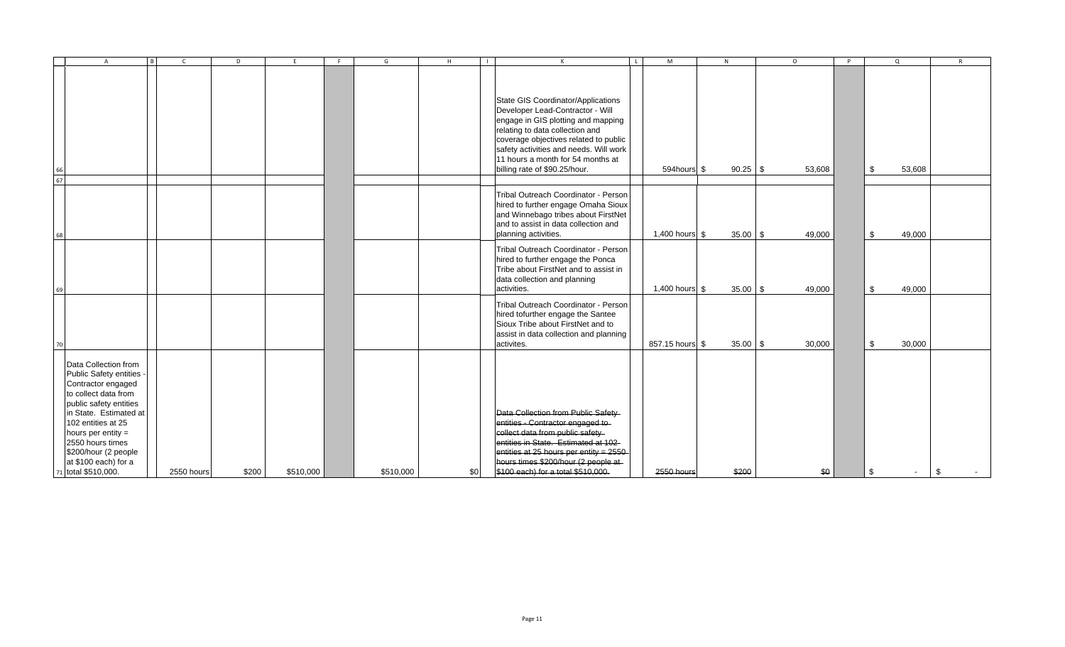|    | B<br>$\overline{A}$                                                                                                                                                                                                                                                                          | $\mathsf{C}$ | D     |           | F | G         | H   | $\mathsf{K}$                                                                                                                                                                                                                                                                                             | $\mathbf{L}$ | M                 | N            | $\circ$ | $\mathsf{P}$ | $\Omega$     |    |
|----|----------------------------------------------------------------------------------------------------------------------------------------------------------------------------------------------------------------------------------------------------------------------------------------------|--------------|-------|-----------|---|-----------|-----|----------------------------------------------------------------------------------------------------------------------------------------------------------------------------------------------------------------------------------------------------------------------------------------------------------|--------------|-------------------|--------------|---------|--------------|--------------|----|
| 67 |                                                                                                                                                                                                                                                                                              |              |       |           |   |           |     | State GIS Coordinator/Applications<br>Developer Lead-Contractor - Will<br>engage in GIS plotting and mapping<br>relating to data collection and<br>coverage objectives related to public<br>safety activities and needs. Will work<br>11 hours a month for 54 months at<br>billing rate of \$90.25/hour. |              | 594hours \$       | $90.25$ \$   | 53,608  |              | \$<br>53,608 |    |
|    |                                                                                                                                                                                                                                                                                              |              |       |           |   |           |     | Tribal Outreach Coordinator - Person<br>hired to further engage Omaha Sioux<br>and Winnebago tribes about FirstNet<br>and to assist in data collection and<br>planning activities.                                                                                                                       |              | 1,400 hours $\$\$ | $35.00$ \$   | 49,000  |              | 49,000<br>\$ |    |
|    |                                                                                                                                                                                                                                                                                              |              |       |           |   |           |     | Tribal Outreach Coordinator - Person<br>hired to further engage the Ponca<br>Tribe about FirstNet and to assist in<br>data collection and planning<br>activities.                                                                                                                                        |              | 1,400 hours $\$\$ | $35.00$ \$   | 49,000  |              | \$<br>49,000 |    |
| 70 |                                                                                                                                                                                                                                                                                              |              |       |           |   |           |     | Tribal Outreach Coordinator - Person<br>hired tofurther engage the Santee<br>Sioux Tribe about FirstNet and to<br>assist in data collection and planning<br>activites.                                                                                                                                   |              | 857.15 hours \$   | $35.00$ \ \$ | 30,000  |              | \$<br>30,000 |    |
|    | Data Collection from<br>Public Safety entities -<br>Contractor engaged<br>to collect data from<br>public safety entities<br>In State. Estimated at<br>102 entities at 25<br>hours per entity $=$<br>2550 hours times<br>\$200/hour (2 people)<br>at \$100 each) for a<br>71 total \$510,000. | 2550 hours   | \$200 | \$510,000 |   | \$510,000 | \$0 | Data Collection from Public Safety<br>entities - Contractor engaged to-<br>collect data from public safety<br>entities in State. Estimated at 102<br>entities at 25 hours per entity = 2550<br>hours times \$200/hour (2 people at<br>\$100 each) for a total \$510,000.                                 |              | 2550 hours        | \$200        | \$0     |              | \$           | \$ |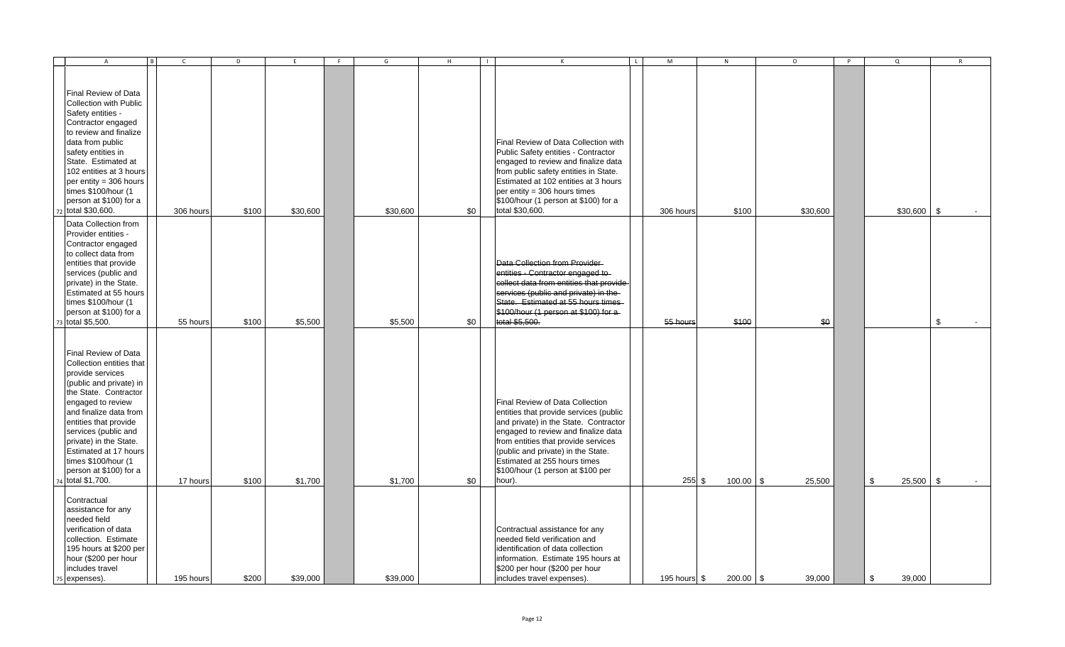| B<br>$\mathsf{A}$                                                                                                                                                                                                                                                                                                                                | $\mathsf{C}$ | D     | E        | F | G        | H   | $\mathbf{L}$ | $\mathsf{K}$                                                                                                                                                                                                                                                                                                          | $\overline{1}$ | M            | N           | $\circ$  | P | Q                 | $\mathsf{R}$ |
|--------------------------------------------------------------------------------------------------------------------------------------------------------------------------------------------------------------------------------------------------------------------------------------------------------------------------------------------------|--------------|-------|----------|---|----------|-----|--------------|-----------------------------------------------------------------------------------------------------------------------------------------------------------------------------------------------------------------------------------------------------------------------------------------------------------------------|----------------|--------------|-------------|----------|---|-------------------|--------------|
| Final Review of Data<br>Collection with Public<br>Safety entities -<br>Contractor engaged<br>to review and finalize<br>data from public<br>safety entities in<br>State. Estimated at<br>102 entities at 3 hours<br>per entity = $306$ hours<br>times \$100/hour (1<br>person at \$100) for a<br>72 total \$30,600.                               | 306 hours    | \$100 | \$30,600 |   | \$30,600 | \$0 |              | Final Review of Data Collection with<br>Public Safety entities - Contractor<br>engaged to review and finalize data<br>from public safety entities in State.<br>Estimated at 102 entities at 3 hours<br>per entity = 306 hours times<br>\$100/hour (1 person at \$100) for a<br>total \$30,600.                        |                | 306 hours    | \$100       | \$30,600 |   | $$30,600$ \$      |              |
| Data Collection from<br>Provider entities -<br>Contractor engaged<br>to collect data from<br>entities that provide<br>services (public and<br>private) in the State.<br><b>Estimated at 55 hours</b><br>times \$100/hour (1<br>person at \$100) for a<br>total \$5,500.                                                                          | 55 hours     | \$100 | \$5,500  |   | \$5,500  | \$0 |              | Data Collection from Provider-<br>entities - Contractor engaged to-<br>collect data from entities that provide<br>services (public and private) in the<br>State. Estimated at 55 hours times<br>\$100/hour (1 person at \$100) for a<br>total \$5,500.                                                                |                | 55 hours     | \$100       | \$0      |   |                   | \$           |
| Final Review of Data<br>Collection entities that<br>provide services<br>(public and private) in<br>the State. Contractor<br>engaged to review<br>and finalize data from<br>entities that provide<br>services (public and<br>private) in the State.<br>Estimated at 17 hours<br>times \$100/hour (1<br>person at \$100) for a<br>4 total \$1,700. | 17 hours     | \$100 | \$1,700  |   | \$1,700  | \$0 |              | Final Review of Data Collection<br>entities that provide services (public<br>and private) in the State. Contractor<br>engaged to review and finalize data<br>from entities that provide services<br>(public and private) in the State.<br>Estimated at 255 hours times<br>\$100/hour (1 person at \$100 per<br>hour). |                | $255$ \$     | 100.00 \$   | 25,500   |   | \$<br>$25,500$ \$ |              |
| Contractual<br>assistance for any<br>needed field<br>verification of data<br>collection. Estimate<br>195 hours at \$200 per<br>hour (\$200 per hour<br>includes travel<br>75 expenses).                                                                                                                                                          | 195 hours    | \$200 | \$39,000 |   | \$39,000 |     |              | Contractual assistance for any<br>needed field verification and<br>identification of data collection<br>information. Estimate 195 hours at<br>\$200 per hour (\$200 per hour<br>includes travel expenses).                                                                                                            |                | 195 hours \$ | $200.00$ \$ | 39,000   |   | \$<br>39.000      |              |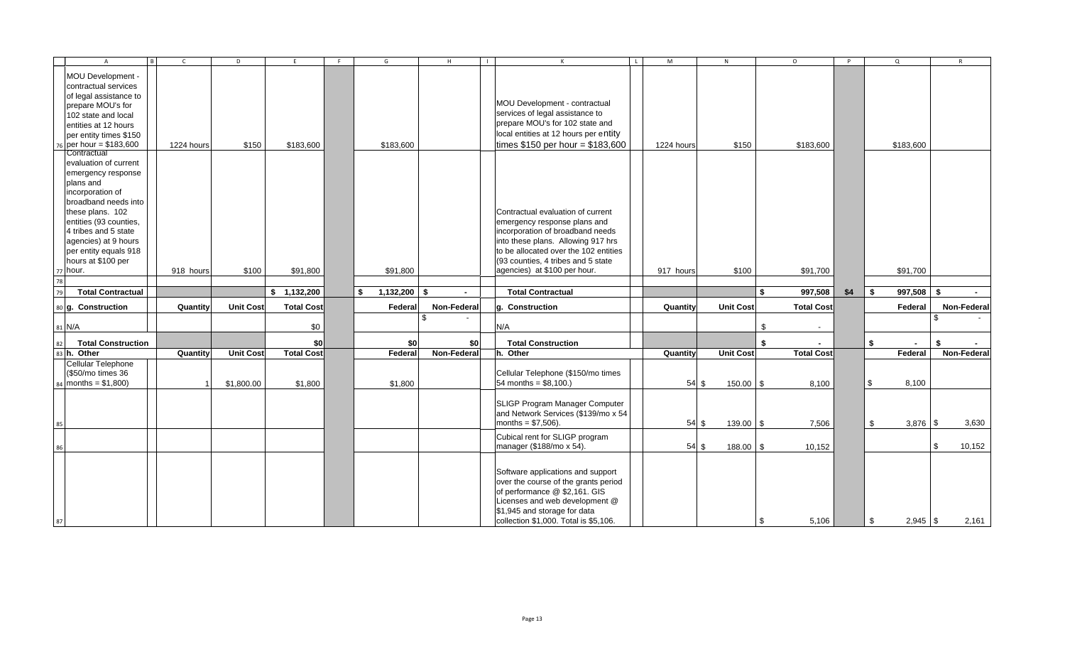| $\overline{B}$<br>$\overline{A}$                                                                                                                                                                                  | $\mathsf{C}$ | D                | E                 | F | G                    | H           | $\blacksquare$ | $\mathsf{K}$                                                                                                                                                                                                          | $\mathsf{L}$ | M          | N                | $\circ$           |       | P   | $\Omega$           |     | R           |
|-------------------------------------------------------------------------------------------------------------------------------------------------------------------------------------------------------------------|--------------|------------------|-------------------|---|----------------------|-------------|----------------|-----------------------------------------------------------------------------------------------------------------------------------------------------------------------------------------------------------------------|--------------|------------|------------------|-------------------|-------|-----|--------------------|-----|-------------|
| MOU Development -<br>contractual services<br>of legal assistance to<br>prepare MOU's for<br>102 state and local                                                                                                   |              |                  |                   |   |                      |             |                | MOU Development - contractual<br>services of legal assistance to<br>prepare MOU's for 102 state and                                                                                                                   |              |            |                  |                   |       |     |                    |     |             |
| entities at 12 hours<br>per entity times \$150                                                                                                                                                                    |              |                  |                   |   |                      |             |                | local entities at 12 hours per entity                                                                                                                                                                                 |              |            |                  |                   |       |     |                    |     |             |
| 76 per hour = \$183,600                                                                                                                                                                                           | 1224 hours   | \$150            | \$183,600         |   | \$183,600            |             |                | times $$150$ per hour = $$183,600$                                                                                                                                                                                    |              | 1224 hours | \$150            | \$183,600         |       |     | \$183,600          |     |             |
| Contractual<br>evaluation of current<br>emergency response<br>plans and<br>incorporation of<br>broadband needs into<br>these plans. 102<br>entities (93 counties,<br>4 tribes and 5 state<br>agencies) at 9 hours |              |                  |                   |   |                      |             |                | Contractual evaluation of current<br>emergency response plans and<br>incorporation of broadband needs<br>into these plans. Allowing 917 hrs                                                                           |              |            |                  |                   |       |     |                    |     |             |
| per entity equals 918                                                                                                                                                                                             |              |                  |                   |   |                      |             |                | to be allocated over the 102 entities                                                                                                                                                                                 |              |            |                  |                   |       |     |                    |     |             |
| hours at \$100 per<br>77 hour.                                                                                                                                                                                    | 918 hours    | \$100            | \$91,800          |   | \$91,800             |             |                | (93 counties, 4 tribes and 5 state<br>agencies) at \$100 per hour.                                                                                                                                                    |              | 917 hours  | \$100            | \$91,700          |       |     | \$91,700           |     |             |
| 78                                                                                                                                                                                                                |              |                  |                   |   |                      |             |                |                                                                                                                                                                                                                       |              |            |                  |                   |       |     |                    |     |             |
| <b>Total Contractual</b><br>79                                                                                                                                                                                    |              |                  | \$1,132,200       |   | \$<br>$1,132,200$ \$ | $\sim$      |                | <b>Total Contractual</b>                                                                                                                                                                                              |              |            |                  | 997,508<br>S.     |       | \$4 | \$<br>$997.508$ \$ |     | $\sim$      |
| 80 g. Construction                                                                                                                                                                                                | Quantity     | <b>Unit Cost</b> | <b>Total Cost</b> |   | Federa               | Non-Federal |                | g. Construction                                                                                                                                                                                                       |              | Quantity   | <b>Unit Cost</b> | <b>Total Cost</b> |       |     | Federal            |     | Non-Federal |
| 81 N/A                                                                                                                                                                                                            |              |                  | \$0               |   |                      |             |                | N/A                                                                                                                                                                                                                   |              |            |                  | \$                |       |     |                    | -96 |             |
| <b>Total Construction</b><br>82                                                                                                                                                                                   |              |                  | \$0               |   | \$0                  | \$0         |                | <b>Total Construction</b>                                                                                                                                                                                             |              |            |                  | \$                |       |     | \$                 |     | \$          |
| 83 h. Other                                                                                                                                                                                                       | Quantity     | <b>Unit Cost</b> | <b>Total Cost</b> |   | Federa               | Non-Federal |                | h. Other                                                                                                                                                                                                              |              | Quantity   | <b>Unit Cost</b> | <b>Total Cost</b> |       |     | Federal            |     | Non-Federal |
| Cellular Telephone<br>(\$50/mo times 36<br>$_{84}$ months = \$1,800)                                                                                                                                              |              | \$1,800.00       | \$1,800           |   | \$1,800              |             |                | Cellular Telephone (\$150/mo times<br>54 months = $$8,100.$ )                                                                                                                                                         |              | 54S        | $150.00$ \$      |                   | 8,100 |     | \$<br>8,100        |     |             |
|                                                                                                                                                                                                                   |              |                  |                   |   |                      |             |                | SLIGP Program Manager Computer<br>and Network Services (\$139/mo x 54<br>months = $$7,506$ ).                                                                                                                         |              | 54S        | $139.00$ \$      |                   | 7,506 |     | \$<br>$3,876$ \$   |     | 3,630       |
|                                                                                                                                                                                                                   |              |                  |                   |   |                      |             |                | Cubical rent for SLIGP program<br>manager (\$188/mo x 54).                                                                                                                                                            |              | 54S        | $188.00$ \$      | 10,152            |       |     |                    | \$  | 10,152      |
| 87                                                                                                                                                                                                                |              |                  |                   |   |                      |             |                | Software applications and support<br>over the course of the grants period<br>of performance @ \$2,161. GIS<br>Licenses and web development @<br>\$1,945 and storage for data<br>collection \$1,000. Total is \$5,106. |              |            |                  | \$                | 5,106 |     | \$<br>$2,945$ \$   |     | 2,161       |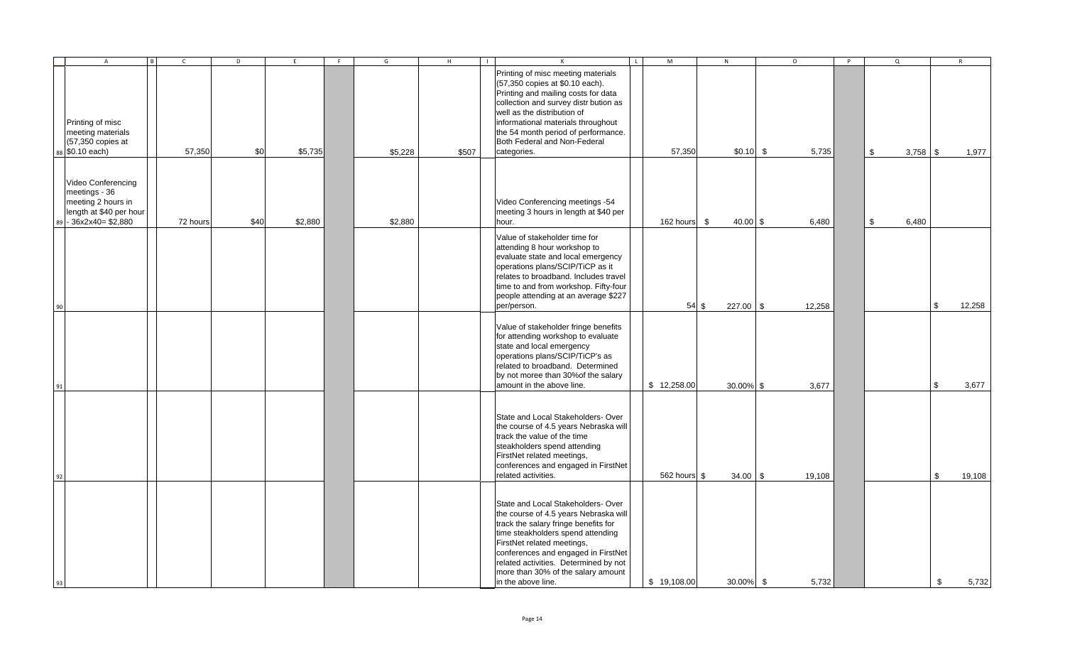|    | $\overline{A}$<br>l Bl                                                                                     | $\mathsf{C}$ | D    | E       | F | G       | $\mathsf H$ | $\Box$ | $\mathsf{K}$                                                                                                                                                                                                                                                                                                                       | $\mathbf{L}$ | M            | ${\sf N}$          | $\circ$ | P | $\Omega$         |            | R      |
|----|------------------------------------------------------------------------------------------------------------|--------------|------|---------|---|---------|-------------|--------|------------------------------------------------------------------------------------------------------------------------------------------------------------------------------------------------------------------------------------------------------------------------------------------------------------------------------------|--------------|--------------|--------------------|---------|---|------------------|------------|--------|
|    | Printing of misc<br>meeting materials<br>(57,350 copies at<br>88 \$0.10 each)                              | 57,350       | \$0  | \$5,735 |   | \$5,228 | \$507       |        | Printing of misc meeting materials<br>(57,350 copies at \$0.10 each).<br>Printing and mailing costs for data<br>collection and survey distr bution as<br>well as the distribution of<br>informational materials throughout<br>the 54 month period of performance.<br>Both Federal and Non-Federal<br>categories.                   |              | 57,350       | $$0.10$ \$         | 5,735   |   | \$<br>$3,758$ \$ |            | 1,977  |
| 89 | Video Conferencing<br>meetings - 36<br>meeting 2 hours in<br>length at \$40 per hour<br>$-36x2x40= $2,880$ | 72 hours     | \$40 | \$2,880 |   | \$2,880 |             |        | Video Conferencing meetings -54<br>meeting 3 hours in length at \$40 per<br>hour.                                                                                                                                                                                                                                                  |              | 162 hours \$ | $40.00$ \$         | 6,480   |   | \$<br>6,480      |            |        |
| 90 |                                                                                                            |              |      |         |   |         |             |        | Value of stakeholder time for<br>attending 8 hour workshop to<br>evaluate state and local emergency<br>operations plans/SCIP/TiCP as it<br>relates to broadband. Includes travel<br>time to and from workshop. Fifty-four<br>people attending at an average \$227<br>per/person.                                                   |              |              | 54S<br>$227.00$ \$ | 12,258  |   |                  | <b>S</b>   | 12,258 |
| 91 |                                                                                                            |              |      |         |   |         |             |        | Value of stakeholder fringe benefits<br>for attending workshop to evaluate<br>state and local emergency<br>operations plans/SCIP/TiCP's as<br>related to broadband. Determined<br>by not moree than 30% of the salary<br>amount in the above line.                                                                                 |              | \$12,258.00  | 30.00% \$          | 3,677   |   |                  | $\sqrt{3}$ | 3,677  |
| 92 |                                                                                                            |              |      |         |   |         |             |        | State and Local Stakeholders-Over<br>the course of 4.5 years Nebraska will<br>track the value of the time<br>steakholders spend attending<br>FirstNet related meetings,<br>conferences and engaged in FirstNet<br>related activities.                                                                                              |              | 562 hours \$ | $34.00$ \$         | 19,108  |   |                  | \$         | 19,108 |
| 93 |                                                                                                            |              |      |         |   |         |             |        | State and Local Stakeholders- Over<br>the course of 4.5 years Nebraska will<br>track the salary fringe benefits for<br>time steakholders spend attending<br>FirstNet related meetings,<br>conferences and engaged in FirstNet<br>related activities. Determined by not<br>more than 30% of the salary amount<br>in the above line. |              | \$19,108.00  | 30.00% \$          | 5,732   |   |                  | \$         | 5,732  |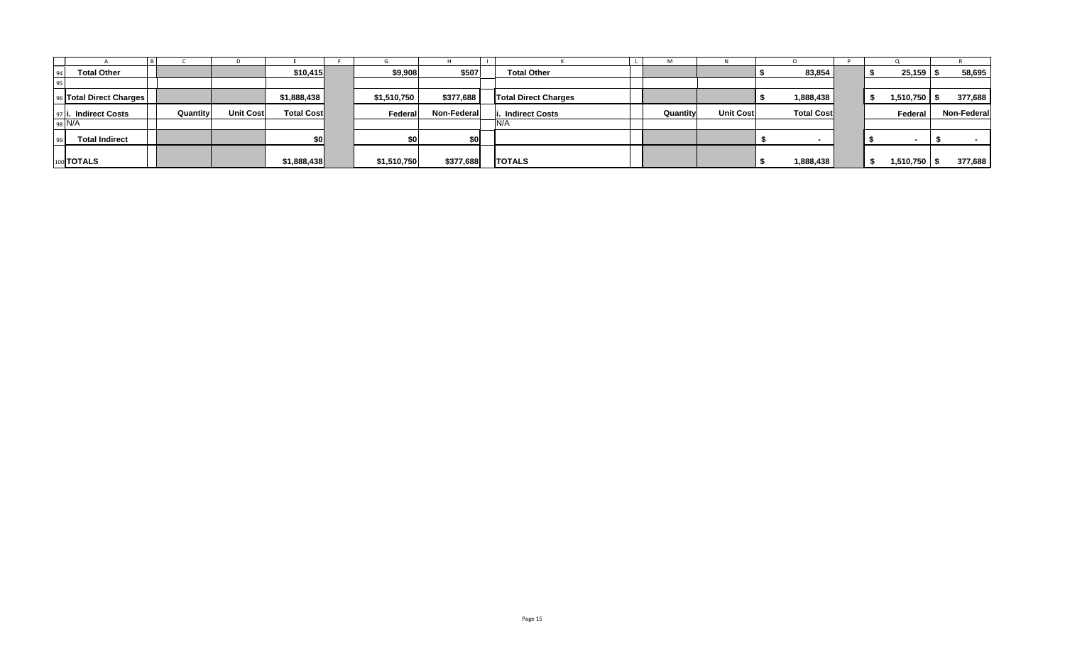| <b>Total Other</b>      |          |                  | \$10,415          | \$9,908     | \$507       | <b>Total Other</b>          |          |                  | 83,854            |  | 25,159           | 58,695      |
|-------------------------|----------|------------------|-------------------|-------------|-------------|-----------------------------|----------|------------------|-------------------|--|------------------|-------------|
|                         |          |                  |                   |             |             |                             |          |                  |                   |  |                  |             |
| 96 Total Direct Charges |          |                  | \$1,888,438       | \$1,510,750 | \$377,688   | <b>Total Direct Charges</b> |          |                  | 1,888,438         |  | $1,510,750$   \$ | 377,688     |
| 97 i. Indirect Costs    | Quantity | <b>Unit Cost</b> | <b>Total Cost</b> | Federal     | Non-Federal | Indirect Costs              | Quantity | <b>Unit Cost</b> | <b>Total Cost</b> |  | Federal          | Non-Federal |
| 98 N/A                  |          |                  |                   |             |             |                             |          |                  |                   |  |                  |             |
| <b>Total Indirect</b>   |          |                  | \$O               |             | \$0         |                             |          |                  |                   |  |                  |             |
|                         |          |                  |                   |             |             |                             |          |                  |                   |  |                  |             |
| 100 <b>TOTALS</b>       |          |                  | \$1,888,438       | \$1,510,750 | \$377,688   | <b>TOTALS</b>               |          |                  | 1,888,438         |  | 1,510,750        | 377,688     |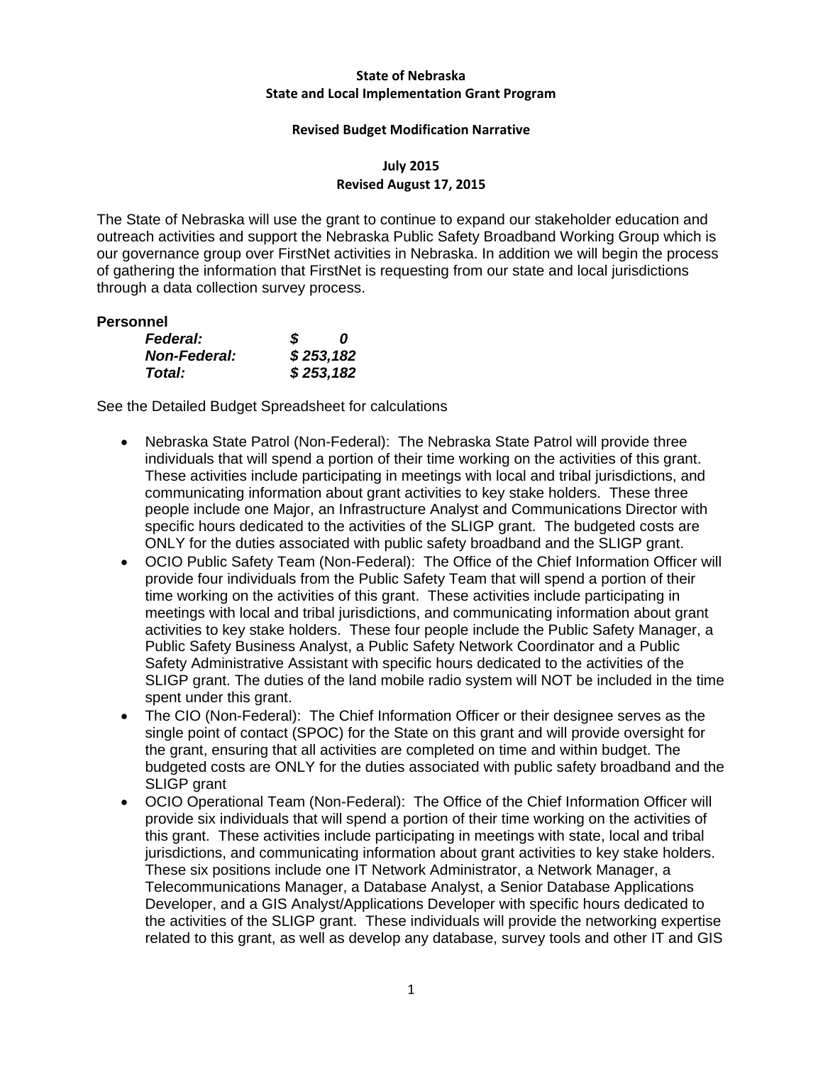## **State of Nebraska State and Local Implementation Grant Program**

### **Revised Budget Modification Narrative**

## **July 2015 Revised August 17, 2015**

The State of Nebraska will use the grant to continue to expand our stakeholder education and outreach activities and support the Nebraska Public Safety Broadband Working Group which is our governance group over FirstNet activities in Nebraska. In addition we will begin the process of gathering the information that FirstNet is requesting from our state and local jurisdictions through a data collection survey process.

## **Personnel**

| <b>Federal:</b>     | S | n         |
|---------------------|---|-----------|
| <b>Non-Federal:</b> |   | \$253,182 |
| Total:              |   | \$253,182 |

- Nebraska State Patrol (Non-Federal): The Nebraska State Patrol will provide three individuals that will spend a portion of their time working on the activities of this grant. These activities include participating in meetings with local and tribal jurisdictions, and communicating information about grant activities to key stake holders. These three people include one Major, an Infrastructure Analyst and Communications Director with specific hours dedicated to the activities of the SLIGP grant. The budgeted costs are ONLY for the duties associated with public safety broadband and the SLIGP grant.
- OCIO Public Safety Team (Non-Federal): The Office of the Chief Information Officer will provide four individuals from the Public Safety Team that will spend a portion of their time working on the activities of this grant. These activities include participating in meetings with local and tribal jurisdictions, and communicating information about grant activities to key stake holders. These four people include the Public Safety Manager, a Public Safety Business Analyst, a Public Safety Network Coordinator and a Public Safety Administrative Assistant with specific hours dedicated to the activities of the SLIGP grant. The duties of the land mobile radio system will NOT be included in the time spent under this grant.
- The CIO (Non-Federal): The Chief Information Officer or their designee serves as the single point of contact (SPOC) for the State on this grant and will provide oversight for the grant, ensuring that all activities are completed on time and within budget. The budgeted costs are ONLY for the duties associated with public safety broadband and the SLIGP grant
- OCIO Operational Team (Non-Federal): The Office of the Chief Information Officer will provide six individuals that will spend a portion of their time working on the activities of this grant. These activities include participating in meetings with state, local and tribal jurisdictions, and communicating information about grant activities to key stake holders. These six positions include one IT Network Administrator, a Network Manager, a Telecommunications Manager, a Database Analyst, a Senior Database Applications Developer, and a GIS Analyst/Applications Developer with specific hours dedicated to the activities of the SLIGP grant. These individuals will provide the networking expertise related to this grant, as well as develop any database, survey tools and other IT and GIS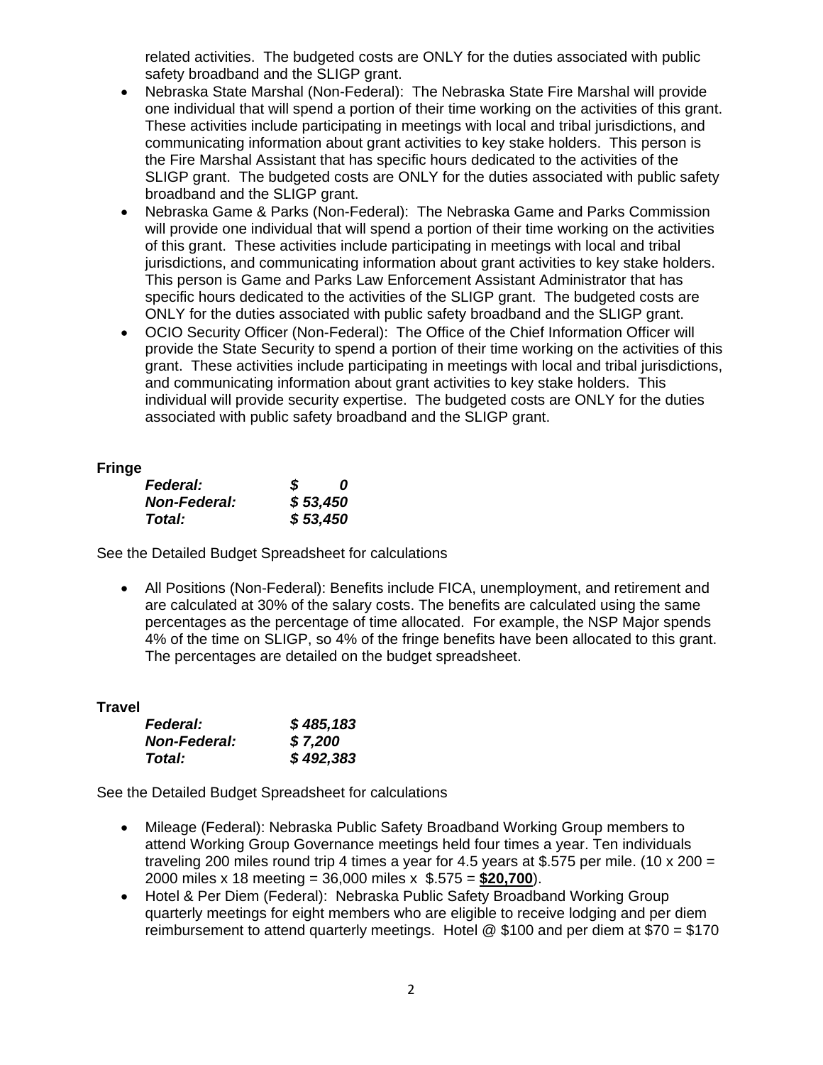related activities. The budgeted costs are ONLY for the duties associated with public safety broadband and the SLIGP grant.

- Nebraska State Marshal (Non-Federal): The Nebraska State Fire Marshal will provide one individual that will spend a portion of their time working on the activities of this grant. These activities include participating in meetings with local and tribal jurisdictions, and communicating information about grant activities to key stake holders. This person is the Fire Marshal Assistant that has specific hours dedicated to the activities of the SLIGP grant. The budgeted costs are ONLY for the duties associated with public safety broadband and the SLIGP grant.
- Nebraska Game & Parks (Non-Federal): The Nebraska Game and Parks Commission will provide one individual that will spend a portion of their time working on the activities of this grant. These activities include participating in meetings with local and tribal jurisdictions, and communicating information about grant activities to key stake holders. This person is Game and Parks Law Enforcement Assistant Administrator that has specific hours dedicated to the activities of the SLIGP grant. The budgeted costs are ONLY for the duties associated with public safety broadband and the SLIGP grant.
- OCIO Security Officer (Non-Federal): The Office of the Chief Information Officer will provide the State Security to spend a portion of their time working on the activities of this grant. These activities include participating in meetings with local and tribal jurisdictions, and communicating information about grant activities to key stake holders. This individual will provide security expertise. The budgeted costs are ONLY for the duties associated with public safety broadband and the SLIGP grant.

## **Fringe**

| - - -<br><b>Federal:</b> | S | 0        |
|--------------------------|---|----------|
| <b>Non-Federal:</b>      |   | \$53,450 |
| Total:                   |   | \$53,450 |

See the Detailed Budget Spreadsheet for calculations

 All Positions (Non-Federal): Benefits include FICA, unemployment, and retirement and are calculated at 30% of the salary costs. The benefits are calculated using the same percentages as the percentage of time allocated. For example, the NSP Major spends 4% of the time on SLIGP, so 4% of the fringe benefits have been allocated to this grant. The percentages are detailed on the budget spreadsheet.

## **Travel**

| <b>Federal:</b>     | \$485,183 |
|---------------------|-----------|
| <b>Non-Federal:</b> | \$7,200   |
| Total:              | \$492,383 |

- Mileage (Federal): Nebraska Public Safety Broadband Working Group members to attend Working Group Governance meetings held four times a year. Ten individuals traveling 200 miles round trip 4 times a year for 4.5 years at \$.575 per mile. (10 x 200 = 2000 miles x 18 meeting = 36,000 miles x \$.575 = **\$20,700**).
- Hotel & Per Diem (Federal): Nebraska Public Safety Broadband Working Group quarterly meetings for eight members who are eligible to receive lodging and per diem reimbursement to attend quarterly meetings. Hotel  $@$  \$100 and per diem at \$70 = \$170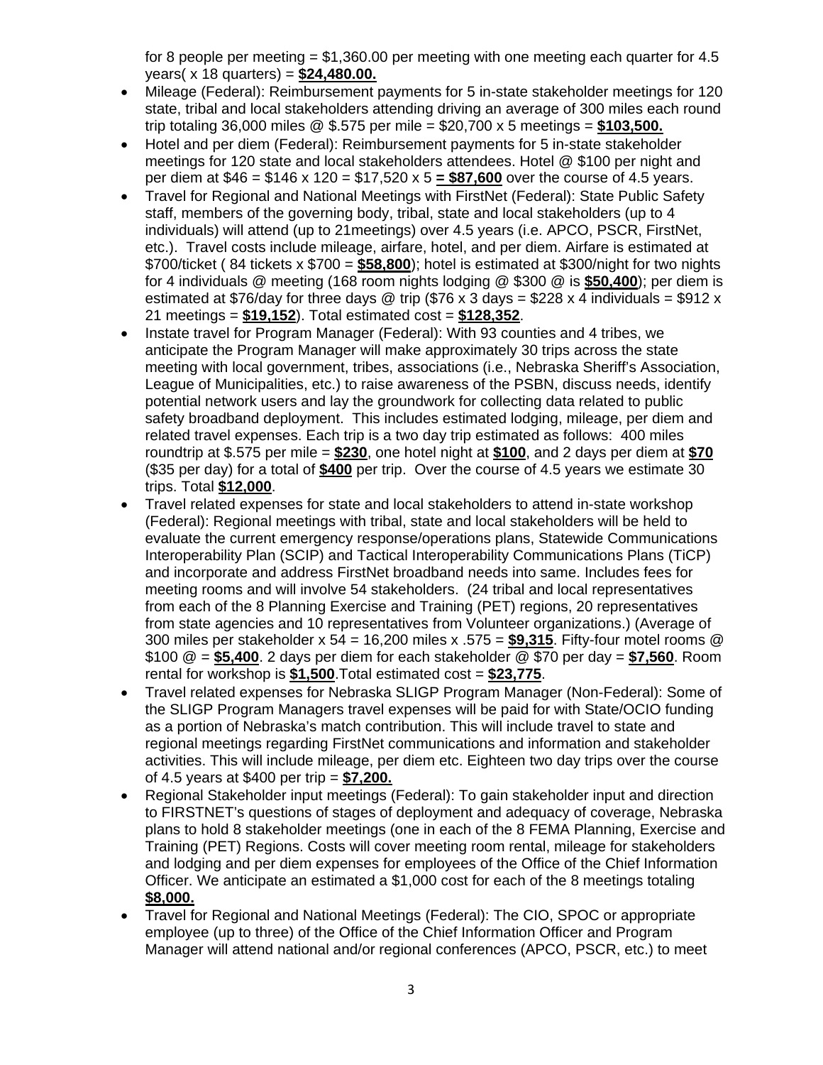for 8 people per meeting  $= $1,360.00$  per meeting with one meeting each quarter for 4.5 years( x 18 quarters) = **\$24,480.00.**

- Mileage (Federal): Reimbursement payments for 5 in-state stakeholder meetings for 120 state, tribal and local stakeholders attending driving an average of 300 miles each round trip totaling 36,000 miles @ \$.575 per mile = \$20,700 x 5 meetings = **\$103,500.**
- Hotel and per diem (Federal): Reimbursement payments for 5 in-state stakeholder meetings for 120 state and local stakeholders attendees. Hotel @ \$100 per night and per diem at \$46 = \$146 x 120 = \$17,520 x 5 **= \$87,600** over the course of 4.5 years.
- Travel for Regional and National Meetings with FirstNet (Federal): State Public Safety staff, members of the governing body, tribal, state and local stakeholders (up to 4 individuals) will attend (up to 21meetings) over 4.5 years (i.e. APCO, PSCR, FirstNet, etc.). Travel costs include mileage, airfare, hotel, and per diem. Airfare is estimated at \$700/ticket ( 84 tickets x \$700 = **\$58,800**); hotel is estimated at \$300/night for two nights for 4 individuals @ meeting (168 room nights lodging @ \$300 @ is **\$50,400**); per diem is estimated at \$76/day for three days @ trip (\$76 x 3 days = \$228 x 4 individuals = \$912 x 21 meetings = **\$19,152**). Total estimated cost = **\$128,352**.
- Instate travel for Program Manager (Federal): With 93 counties and 4 tribes, we anticipate the Program Manager will make approximately 30 trips across the state meeting with local government, tribes, associations (i.e., Nebraska Sheriff's Association, League of Municipalities, etc.) to raise awareness of the PSBN, discuss needs, identify potential network users and lay the groundwork for collecting data related to public safety broadband deployment. This includes estimated lodging, mileage, per diem and related travel expenses. Each trip is a two day trip estimated as follows: 400 miles roundtrip at \$.575 per mile = **\$230**, one hotel night at **\$100**, and 2 days per diem at **\$70** (\$35 per day) for a total of **\$400** per trip. Over the course of 4.5 years we estimate 30 trips. Total **\$12,000**.
- Travel related expenses for state and local stakeholders to attend in-state workshop (Federal): Regional meetings with tribal, state and local stakeholders will be held to evaluate the current emergency response/operations plans, Statewide Communications Interoperability Plan (SCIP) and Tactical Interoperability Communications Plans (TiCP) and incorporate and address FirstNet broadband needs into same. Includes fees for meeting rooms and will involve 54 stakeholders. (24 tribal and local representatives from each of the 8 Planning Exercise and Training (PET) regions, 20 representatives from state agencies and 10 representatives from Volunteer organizations.) (Average of 300 miles per stakeholder x 54 = 16,200 miles x .575 = **\$9,315**. Fifty-four motel rooms @ \$100 @ = **\$5,400**. 2 days per diem for each stakeholder @ \$70 per day = **\$7,560**. Room rental for workshop is **\$1,500**.Total estimated cost = **\$23,775**.
- Travel related expenses for Nebraska SLIGP Program Manager (Non-Federal): Some of the SLIGP Program Managers travel expenses will be paid for with State/OCIO funding as a portion of Nebraska's match contribution. This will include travel to state and regional meetings regarding FirstNet communications and information and stakeholder activities. This will include mileage, per diem etc. Eighteen two day trips over the course of 4.5 years at \$400 per trip = **\$7,200.**
- Regional Stakeholder input meetings (Federal): To gain stakeholder input and direction to FIRSTNET's questions of stages of deployment and adequacy of coverage, Nebraska plans to hold 8 stakeholder meetings (one in each of the 8 FEMA Planning, Exercise and Training (PET) Regions. Costs will cover meeting room rental, mileage for stakeholders and lodging and per diem expenses for employees of the Office of the Chief Information Officer. We anticipate an estimated a \$1,000 cost for each of the 8 meetings totaling **\$8,000.**
- Travel for Regional and National Meetings (Federal): The CIO, SPOC or appropriate employee (up to three) of the Office of the Chief Information Officer and Program Manager will attend national and/or regional conferences (APCO, PSCR, etc.) to meet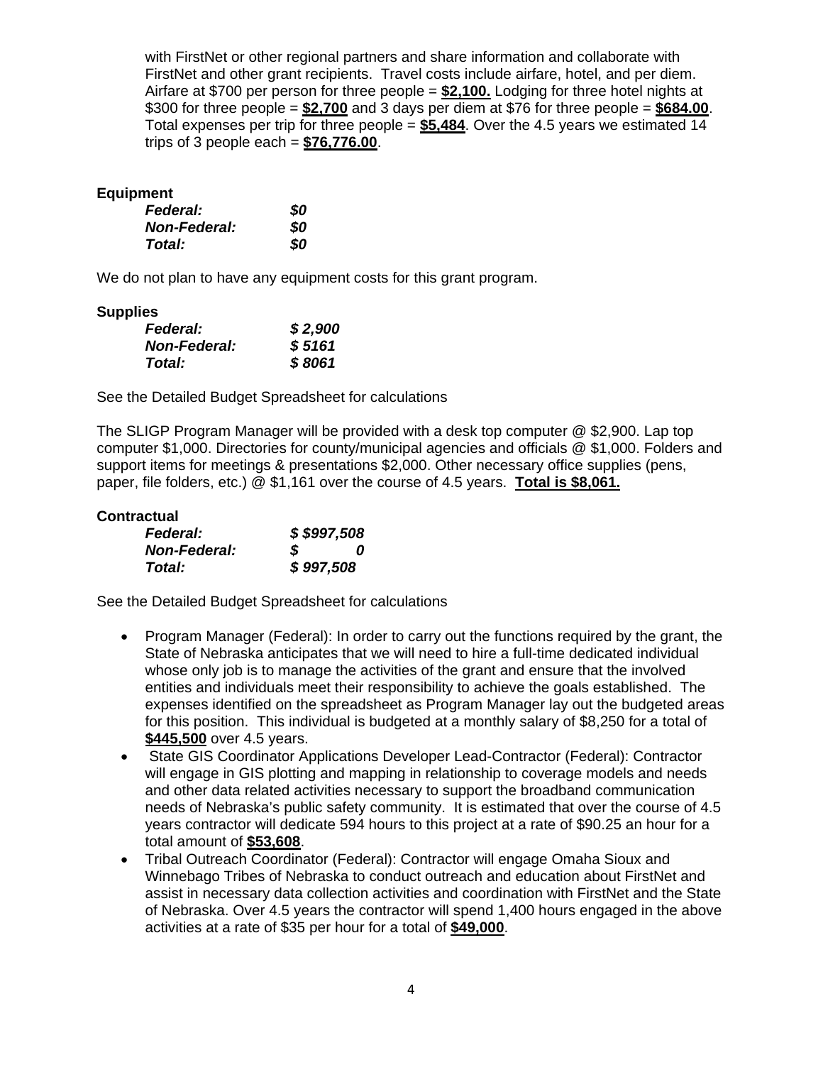with FirstNet or other regional partners and share information and collaborate with FirstNet and other grant recipients. Travel costs include airfare, hotel, and per diem. Airfare at \$700 per person for three people = **\$2,100.** Lodging for three hotel nights at \$300 for three people = **\$2,700** and 3 days per diem at \$76 for three people = **\$684.00**. Total expenses per trip for three people = **\$5,484**. Over the 4.5 years we estimated 14 trips of 3 people each = **\$76,776.00**.

## **Equipment**

| <b>Federal:</b>     | 80  |
|---------------------|-----|
| <b>Non-Federal:</b> | SO. |
| Total:              | 80  |

We do not plan to have any equipment costs for this grant program.

## **Supplies**

| . .<br><b>Federal:</b> | \$2,900 |
|------------------------|---------|
| <b>Non-Federal:</b>    | \$5161  |
| Total:                 | \$8061  |

See the Detailed Budget Spreadsheet for calculations

The SLIGP Program Manager will be provided with a desk top computer @ \$2,900. Lap top computer \$1,000. Directories for county/municipal agencies and officials @ \$1,000. Folders and support items for meetings & presentations \$2,000. Other necessary office supplies (pens, paper, file folders, etc.) @ \$1,161 over the course of 4.5 years. **Total is \$8,061.**

#### **Contractual**

| <b>Federal:</b>     |           | \$\$997,508 |
|---------------------|-----------|-------------|
| <b>Non-Federal:</b> | S         | 0           |
| Total:              | \$997,508 |             |

- Program Manager (Federal): In order to carry out the functions required by the grant, the State of Nebraska anticipates that we will need to hire a full-time dedicated individual whose only job is to manage the activities of the grant and ensure that the involved entities and individuals meet their responsibility to achieve the goals established. The expenses identified on the spreadsheet as Program Manager lay out the budgeted areas for this position. This individual is budgeted at a monthly salary of \$8,250 for a total of **\$445,500** over 4.5 years.
- State GIS Coordinator Applications Developer Lead-Contractor (Federal): Contractor will engage in GIS plotting and mapping in relationship to coverage models and needs and other data related activities necessary to support the broadband communication needs of Nebraska's public safety community. It is estimated that over the course of 4.5 years contractor will dedicate 594 hours to this project at a rate of \$90.25 an hour for a total amount of **\$53,608**.
- Tribal Outreach Coordinator (Federal): Contractor will engage Omaha Sioux and Winnebago Tribes of Nebraska to conduct outreach and education about FirstNet and assist in necessary data collection activities and coordination with FirstNet and the State of Nebraska. Over 4.5 years the contractor will spend 1,400 hours engaged in the above activities at a rate of \$35 per hour for a total of **\$49,000**.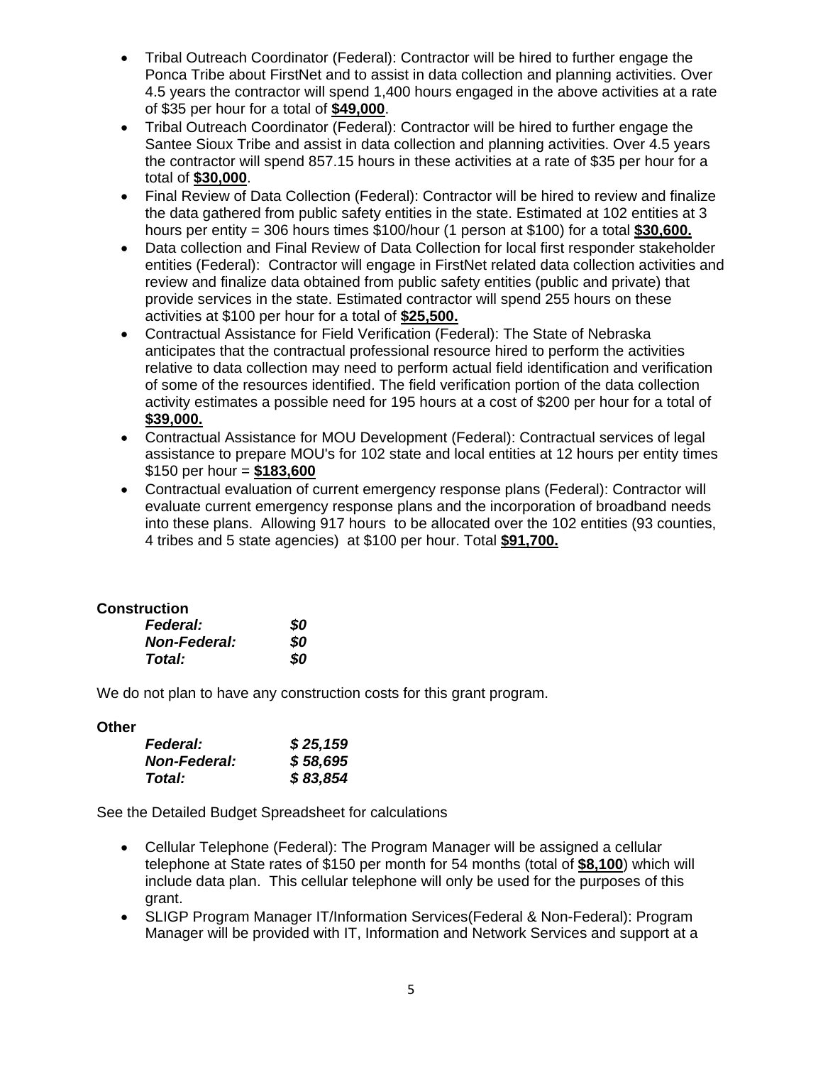- Tribal Outreach Coordinator (Federal): Contractor will be hired to further engage the Ponca Tribe about FirstNet and to assist in data collection and planning activities. Over 4.5 years the contractor will spend 1,400 hours engaged in the above activities at a rate of \$35 per hour for a total of **\$49,000**.
- Tribal Outreach Coordinator (Federal): Contractor will be hired to further engage the Santee Sioux Tribe and assist in data collection and planning activities. Over 4.5 years the contractor will spend 857.15 hours in these activities at a rate of \$35 per hour for a total of **\$30,000**.
- Final Review of Data Collection (Federal): Contractor will be hired to review and finalize the data gathered from public safety entities in the state. Estimated at 102 entities at 3 hours per entity = 306 hours times \$100/hour (1 person at \$100) for a total **\$30,600.**
- Data collection and Final Review of Data Collection for local first responder stakeholder entities (Federal): Contractor will engage in FirstNet related data collection activities and review and finalize data obtained from public safety entities (public and private) that provide services in the state. Estimated contractor will spend 255 hours on these activities at \$100 per hour for a total of **\$25,500.**
- Contractual Assistance for Field Verification (Federal): The State of Nebraska anticipates that the contractual professional resource hired to perform the activities relative to data collection may need to perform actual field identification and verification of some of the resources identified. The field verification portion of the data collection activity estimates a possible need for 195 hours at a cost of \$200 per hour for a total of **\$39,000.**
- Contractual Assistance for MOU Development (Federal): Contractual services of legal assistance to prepare MOU's for 102 state and local entities at 12 hours per entity times \$150 per hour = **\$183,600**
- Contractual evaluation of current emergency response plans (Federal): Contractor will evaluate current emergency response plans and the incorporation of broadband needs into these plans. Allowing 917 hours to be allocated over the 102 entities (93 counties, 4 tribes and 5 state agencies) at \$100 per hour. Total **\$91,700.**

## **Construction**

| <b>Federal:</b>     | SO |
|---------------------|----|
| <b>Non-Federal:</b> | SO |
| Total:              | 80 |

We do not plan to have any construction costs for this grant program.

## **Other**

| <b>Federal:</b>     | \$25,159 |
|---------------------|----------|
| <b>Non-Federal:</b> | \$58,695 |
| Total:              | \$83,854 |

- Cellular Telephone (Federal): The Program Manager will be assigned a cellular telephone at State rates of \$150 per month for 54 months (total of **\$8,100**) which will include data plan. This cellular telephone will only be used for the purposes of this grant.
- SLIGP Program Manager IT/Information Services(Federal & Non-Federal): Program Manager will be provided with IT, Information and Network Services and support at a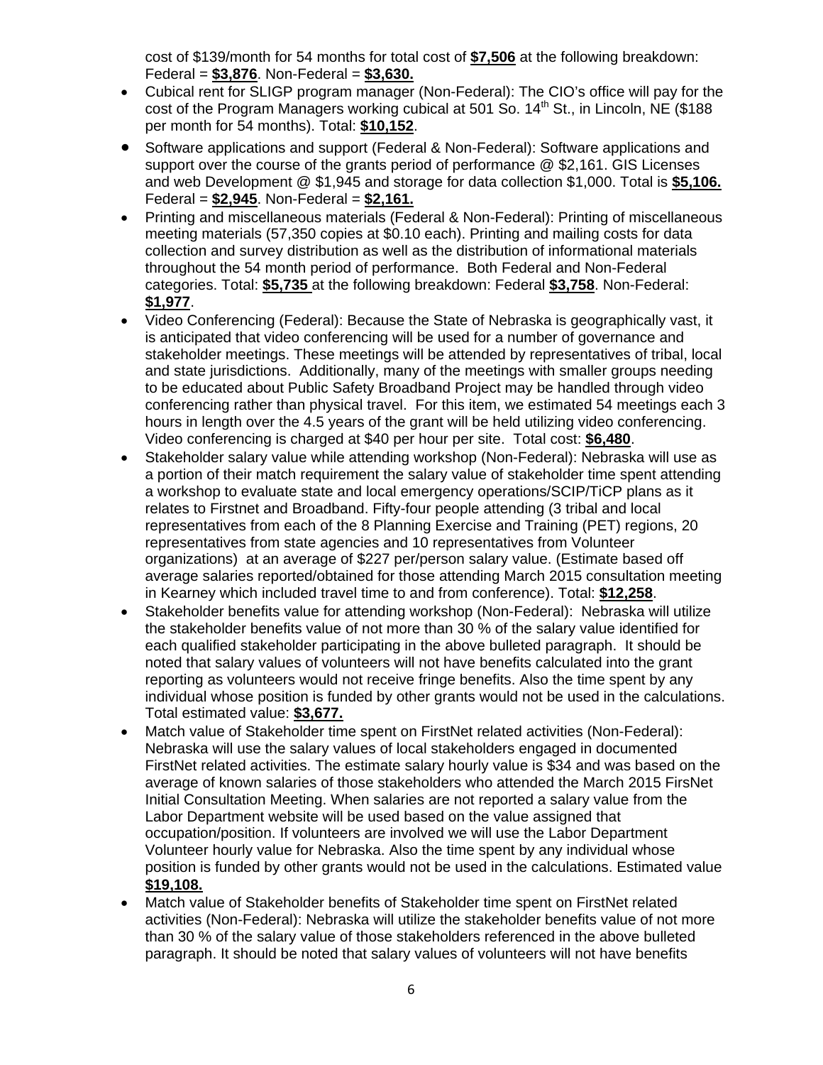cost of \$139/month for 54 months for total cost of **\$7,506** at the following breakdown: Federal = **\$3,876**. Non-Federal = **\$3,630.**

- Cubical rent for SLIGP program manager (Non-Federal): The CIO's office will pay for the cost of the Program Managers working cubical at 501 So.  $14<sup>th</sup>$  St., in Lincoln, NE (\$188) per month for 54 months). Total: **\$10,152**.
- Software applications and support (Federal & Non-Federal): Software applications and support over the course of the grants period of performance @ \$2,161. GIS Licenses and web Development @ \$1,945 and storage for data collection \$1,000. Total is **\$5,106.**  Federal = **\$2,945**. Non-Federal = **\$2,161.**
- Printing and miscellaneous materials (Federal & Non-Federal): Printing of miscellaneous meeting materials (57,350 copies at \$0.10 each). Printing and mailing costs for data collection and survey distribution as well as the distribution of informational materials throughout the 54 month period of performance. Both Federal and Non-Federal categories. Total: **\$5,735** at the following breakdown: Federal **\$3,758**. Non-Federal: **\$1,977**.
- Video Conferencing (Federal): Because the State of Nebraska is geographically vast, it is anticipated that video conferencing will be used for a number of governance and stakeholder meetings. These meetings will be attended by representatives of tribal, local and state jurisdictions. Additionally, many of the meetings with smaller groups needing to be educated about Public Safety Broadband Project may be handled through video conferencing rather than physical travel. For this item, we estimated 54 meetings each 3 hours in length over the 4.5 years of the grant will be held utilizing video conferencing. Video conferencing is charged at \$40 per hour per site. Total cost: **\$6,480**.
- Stakeholder salary value while attending workshop (Non-Federal): Nebraska will use as a portion of their match requirement the salary value of stakeholder time spent attending a workshop to evaluate state and local emergency operations/SCIP/TiCP plans as it relates to Firstnet and Broadband. Fifty-four people attending (3 tribal and local representatives from each of the 8 Planning Exercise and Training (PET) regions, 20 representatives from state agencies and 10 representatives from Volunteer organizations) at an average of \$227 per/person salary value. (Estimate based off average salaries reported/obtained for those attending March 2015 consultation meeting in Kearney which included travel time to and from conference). Total: **\$12,258**.
- Stakeholder benefits value for attending workshop (Non-Federal): Nebraska will utilize the stakeholder benefits value of not more than 30 % of the salary value identified for each qualified stakeholder participating in the above bulleted paragraph. It should be noted that salary values of volunteers will not have benefits calculated into the grant reporting as volunteers would not receive fringe benefits. Also the time spent by any individual whose position is funded by other grants would not be used in the calculations. Total estimated value: **\$3,677.**
- Match value of Stakeholder time spent on FirstNet related activities (Non-Federal): Nebraska will use the salary values of local stakeholders engaged in documented FirstNet related activities. The estimate salary hourly value is \$34 and was based on the average of known salaries of those stakeholders who attended the March 2015 FirsNet Initial Consultation Meeting. When salaries are not reported a salary value from the Labor Department website will be used based on the value assigned that occupation/position. If volunteers are involved we will use the Labor Department Volunteer hourly value for Nebraska. Also the time spent by any individual whose position is funded by other grants would not be used in the calculations. Estimated value **\$19,108.**
- Match value of Stakeholder benefits of Stakeholder time spent on FirstNet related activities (Non-Federal): Nebraska will utilize the stakeholder benefits value of not more than 30 % of the salary value of those stakeholders referenced in the above bulleted paragraph. It should be noted that salary values of volunteers will not have benefits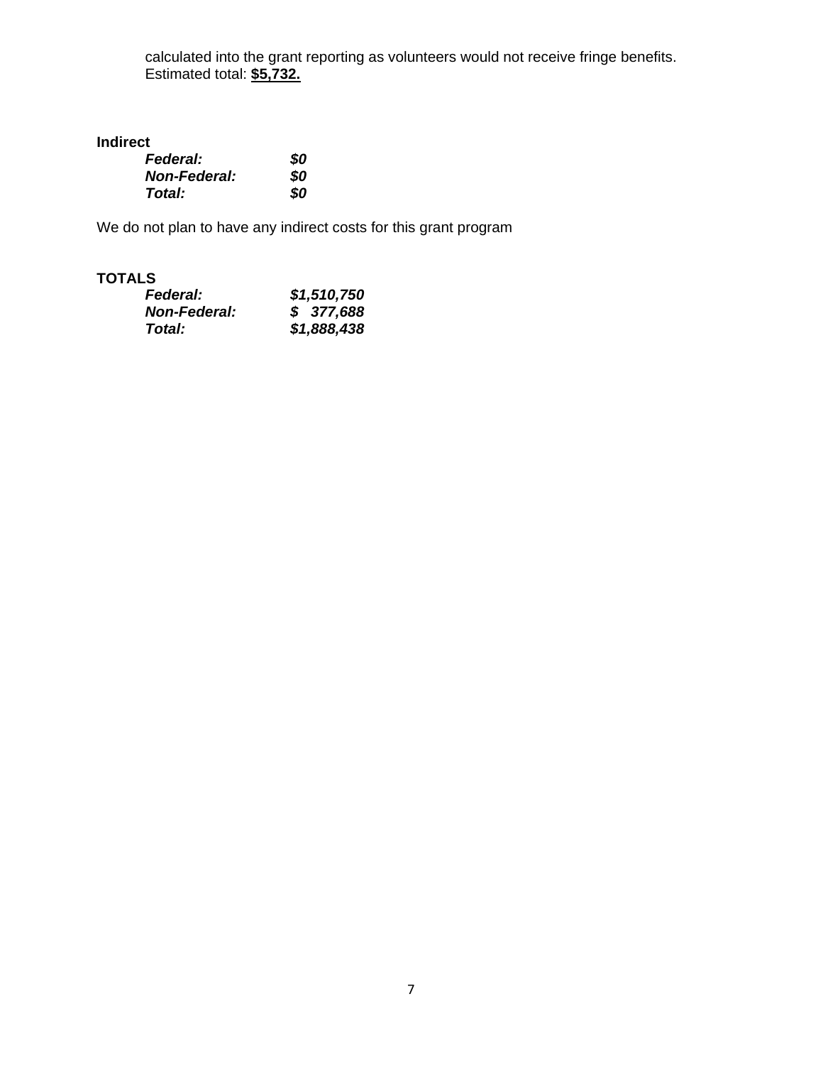calculated into the grant reporting as volunteers would not receive fringe benefits. Estimated total: **\$5,732.**

## **Indirect**

| <b>Federal:</b>     | 80 |
|---------------------|----|
| <b>Non-Federal:</b> | SO |
| Total:              | 80 |

We do not plan to have any indirect costs for this grant program

## **TOTALS**

| <b>Federal:</b>     | \$1,510,750 |
|---------------------|-------------|
| <b>Non-Federal:</b> | \$377,688   |
| Total:              | \$1,888,438 |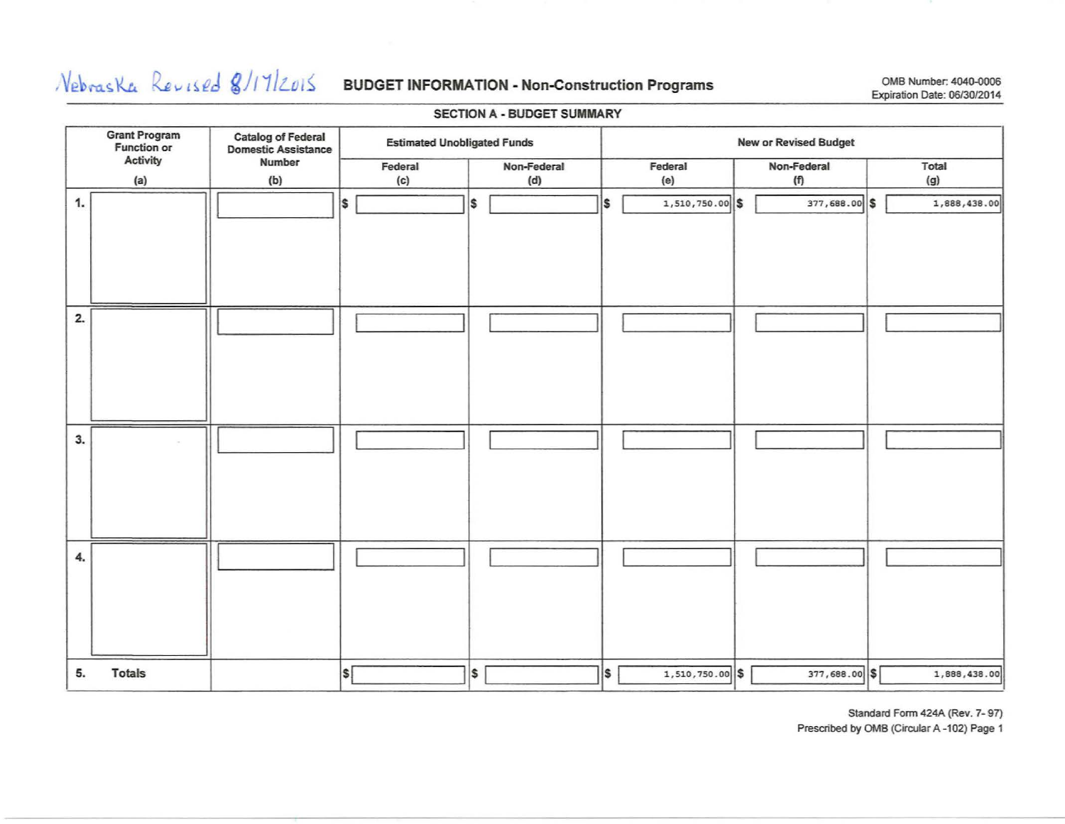# $N_{\text{ebras}}$   $K_{\text{ev1}}$   $\ell_{\text{ev1}}$   $\ell_{\text{d}}$   $\ell$   $/$   $/$   $/$   $/$   $/$   $/$   $/$   $/$   $\ell$   $/$  **BUDGET INFORMATION - Non-Construction Programs** COMB Number: 4040-0006

# Expiration Date: 0613012014

#### SECTION A - BUDGET SUMMARY

|    | Grant Program<br>Function or | <b>Catalog of Federal<br/>Domestic Assistance</b> | <b>Estimated Unobligated Funds</b> |                    |                              | <b>New or Revised Budget</b> |              |  |  |  |  |
|----|------------------------------|---------------------------------------------------|------------------------------------|--------------------|------------------------------|------------------------------|--------------|--|--|--|--|
|    | Activity<br>(a)              | Number<br>(b)                                     | Federal<br>(c)                     | Non-Federal<br>(d) | Federal<br>(e)               | Non-Federal<br>(f)           | Total<br>(g) |  |  |  |  |
| 1. |                              |                                                   | Is                                 | \$                 | 's<br>$1,510,750.00$ \$      | 377,688.00 \$                | 1,888,438.00 |  |  |  |  |
| 2. |                              |                                                   |                                    |                    |                              |                              |              |  |  |  |  |
| 3. |                              |                                                   |                                    |                    |                              |                              |              |  |  |  |  |
| 4. |                              |                                                   |                                    |                    |                              |                              |              |  |  |  |  |
| 5. | <b>Totals</b>                |                                                   | $ \boldsymbol{\mathsf{s}} $        | S.                 | $\vert$ s<br>1,510,750.00 \$ | 377,688.00 \$                | 1,888,438.00 |  |  |  |  |

Standard Form 424A (Rev. 7- 97)

Prescribed by OMB (Circular A-102) Page 1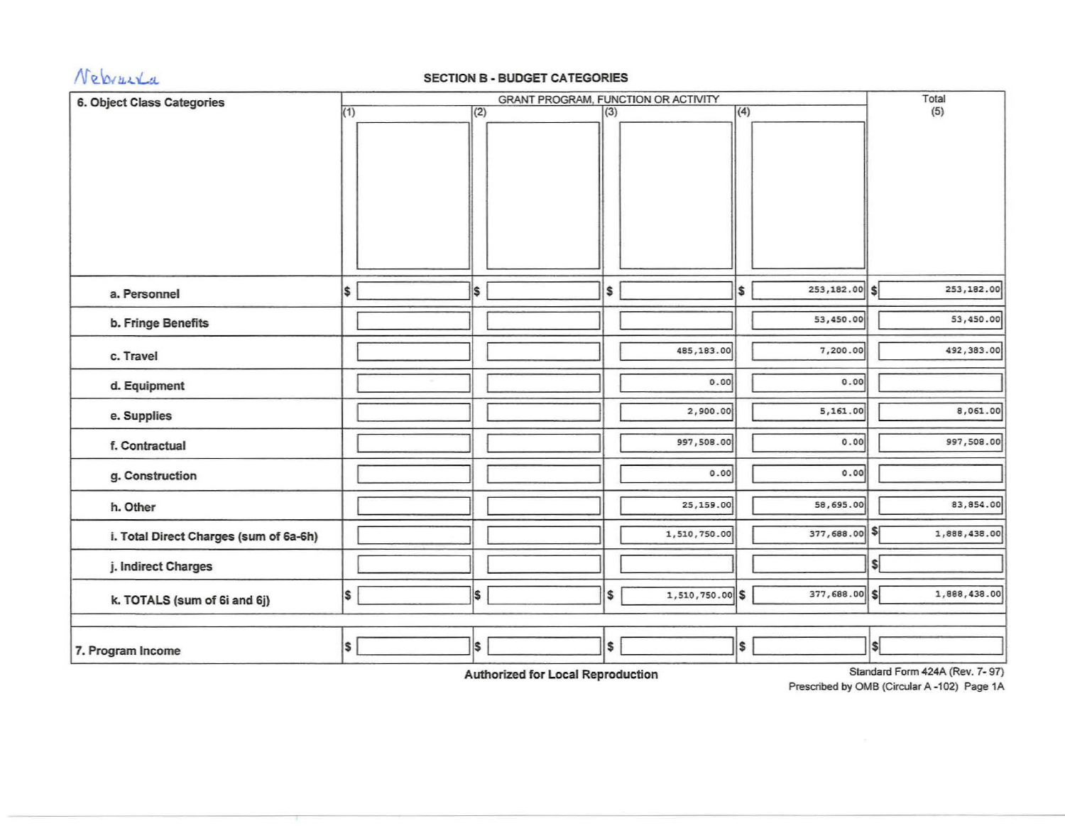

# **N** 2 brush a section B - BUDGET CATEGORIES

| 6. Object Class Categories             |     |  |     | Total |                 |     |                 |     |                               |
|----------------------------------------|-----|--|-----|-------|-----------------|-----|-----------------|-----|-------------------------------|
|                                        | (1) |  | (2) | (3)   |                 | (4) |                 |     | (5)                           |
|                                        |     |  |     |       |                 |     |                 |     |                               |
|                                        |     |  |     |       |                 |     |                 |     |                               |
|                                        |     |  |     |       |                 |     |                 |     |                               |
|                                        |     |  |     |       |                 |     |                 |     |                               |
|                                        |     |  |     |       |                 |     |                 |     |                               |
|                                        |     |  |     |       |                 |     |                 |     |                               |
|                                        |     |  |     |       |                 |     |                 |     |                               |
|                                        |     |  |     |       |                 |     |                 |     |                               |
|                                        |     |  |     |       |                 |     |                 |     |                               |
| a. Personnel                           | \$  |  | I\$ | \$    |                 | \$  | $253,182.00$ \$ |     | 253,182.00                    |
|                                        |     |  |     |       |                 |     | 53,450.00       |     | 53,450.00                     |
| b. Fringe Benefits                     |     |  |     |       |                 |     |                 |     |                               |
| c. Travel                              |     |  |     |       | 485,183.00      |     | 7,200.00        |     | 492,383.00                    |
| d. Equipment                           |     |  |     |       | 0.00            |     | 0.00            |     |                               |
| e. Supplies                            |     |  |     |       | 2,900.00        |     | 5,161.00        |     | 8,061.00                      |
| f. Contractual                         |     |  |     |       | 997,508.00      |     | 0.00            |     | 997,508.00                    |
| g. Construction                        |     |  |     |       | 0.00            |     | 0.00            |     |                               |
| h. Other                               |     |  |     |       | 25,159.00       |     | 58,695.00       |     | 83,854.00                     |
| i. Total Direct Charges (sum of 6a-6h) |     |  |     |       | 1,510,750.00    |     | 377,688.00 \$   |     | 1,888,438.00                  |
| j. Indirect Charges                    |     |  |     |       |                 |     |                 | \$Í |                               |
| k. TOTALS (sum of 6i and 6j)           | S,  |  | 1\$ | \$    | 1,510,750.00 \$ |     | 377,688.00 \$   |     | 1,888,438.00                  |
|                                        |     |  |     |       |                 |     |                 |     |                               |
| 7. Program Income                      | S   |  | I\$ | \$    |                 | \$  |                 | Isl |                               |
|                                        |     |  |     |       |                 |     |                 |     | Standard Form 424A (Dou 7 07) |

Authorized for Local Reproduction

Standard Form 424A (Rev. 7- 97)

Prescribed by OMB (Circular A-102) Page 1A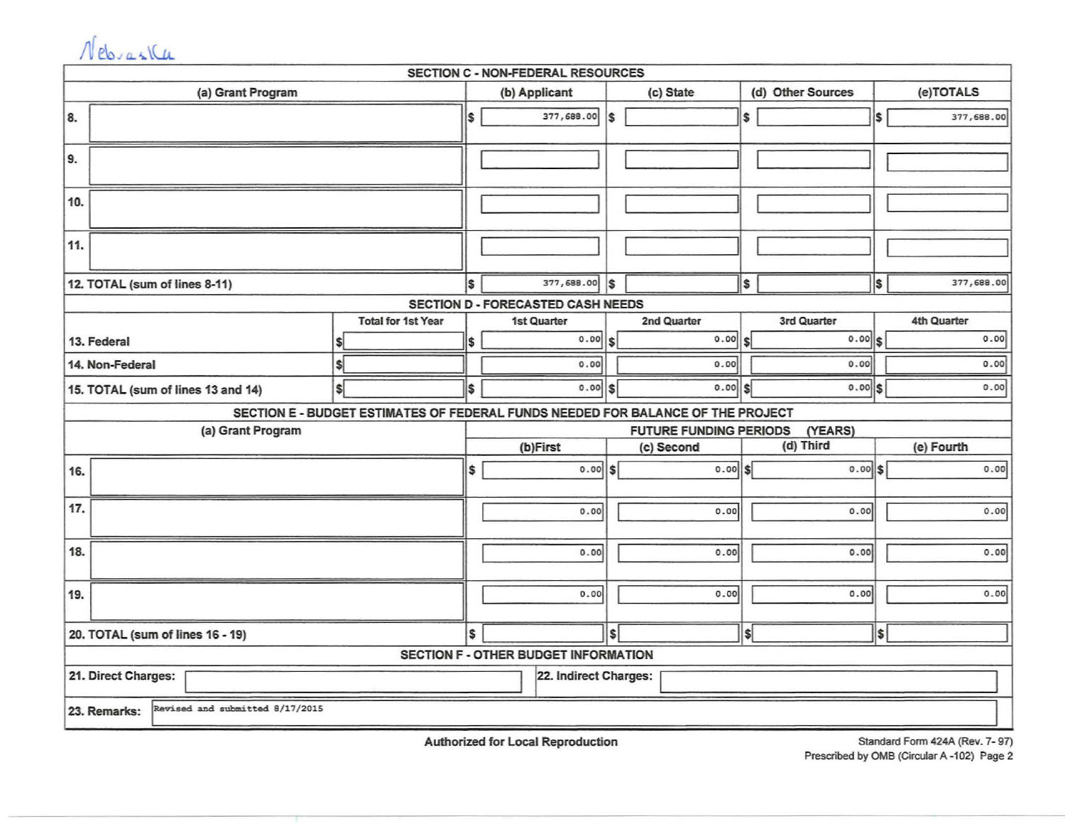|     | Nebraska                                        |                   |                           |     |                                                                                 |           |              |              |                   |            |             |  |  |
|-----|-------------------------------------------------|-------------------|---------------------------|-----|---------------------------------------------------------------------------------|-----------|--------------|--------------|-------------------|------------|-------------|--|--|
|     |                                                 |                   |                           |     | SECTION C - NON-FEDERAL RESOURCES                                               |           |              |              |                   |            |             |  |  |
|     |                                                 | (a) Grant Program |                           |     | (b) Applicant                                                                   | (c) State |              |              | (d) Other Sources | (e)TOTALS  |             |  |  |
| 8.  |                                                 |                   |                           | \$  | 377,688.00                                                                      | \$        |              | \$           |                   | \$         | 377,688.00  |  |  |
| 9.  |                                                 |                   |                           |     |                                                                                 |           |              |              |                   |            |             |  |  |
| 10. |                                                 |                   |                           |     |                                                                                 |           |              |              |                   |            |             |  |  |
| 11. |                                                 |                   |                           |     |                                                                                 |           |              |              |                   |            |             |  |  |
|     | 12. TOTAL (sum of lines 8-11)                   |                   |                           | Ŝ.  | 377,688.00                                                                      | I\$       |              | \$           |                   | \$         | 377,688.00  |  |  |
|     |                                                 |                   |                           |     | SECTION D - FORECASTED CASH NEEDS                                               |           |              |              |                   |            |             |  |  |
|     |                                                 |                   | <b>Total for 1st Year</b> |     | 1st Quarter                                                                     |           | 2nd Quarter  |              | 3rd Quarter       |            | 4th Quarter |  |  |
|     | 13. Federal                                     |                   |                           | \$  | 0.00                                                                            | \$        | 0.00         | \$l          | 0.00              | l\$        | 0.00        |  |  |
|     | 14. Non-Federal                                 |                   |                           |     | 0.00                                                                            |           | 0.00         |              | 0.00              |            | 0.00        |  |  |
|     | 15. TOTAL (sum of lines 13 and 14)              |                   | s.                        | l\$ | 0.00                                                                            | lsl       | $0.00$ \$    |              | $0.00$ s          |            | 0.00        |  |  |
|     |                                                 |                   |                           |     | SECTION E - BUDGET ESTIMATES OF FEDERAL FUNDS NEEDED FOR BALANCE OF THE PROJECT |           |              |              |                   |            |             |  |  |
|     |                                                 | (a) Grant Program |                           |     | (YEARS)<br><b>FUTURE FUNDING PERIODS</b>                                        |           |              |              |                   |            |             |  |  |
|     |                                                 |                   |                           |     | (b)First<br>(c) Second                                                          |           |              |              | (d) Third         | (e) Fourth |             |  |  |
| 16. |                                                 |                   |                           | \$  | 0.00                                                                            | Isl       | $0.00$ $ S $ |              | $0.00$ \$         |            | 0.00        |  |  |
| 17. |                                                 |                   |                           |     | 0.00                                                                            |           | 0.00         |              | 0.00              |            | 0.00        |  |  |
|     |                                                 |                   |                           |     |                                                                                 |           |              |              |                   |            |             |  |  |
| 18. |                                                 |                   |                           |     | 0.00                                                                            |           | 0.00         |              | 0.00              |            | 0.00        |  |  |
| 19. |                                                 |                   |                           |     | 0.00                                                                            |           | 0.00         |              | 0.00              |            | 0.00        |  |  |
|     | 20. TOTAL (sum of lines 16 - 19)                |                   |                           | \$  |                                                                                 | \$        |              | <sub>S</sub> |                   | \$         |             |  |  |
|     |                                                 |                   |                           |     | <b>SECTION F - OTHER BUDGET INFORMATION</b>                                     |           |              |              |                   |            |             |  |  |
|     | 21. Direct Charges:<br>22. Indirect Charges:    |                   |                           |     |                                                                                 |           |              |              |                   |            |             |  |  |
|     | Revised and submitted 8/17/2015<br>23. Remarks: |                   |                           |     |                                                                                 |           |              |              |                   |            |             |  |  |

Authorized for Local Reproduction

Standard Form 424A (Rev. 7- 97) Prescribed by OMB (Circular A -102) Page 2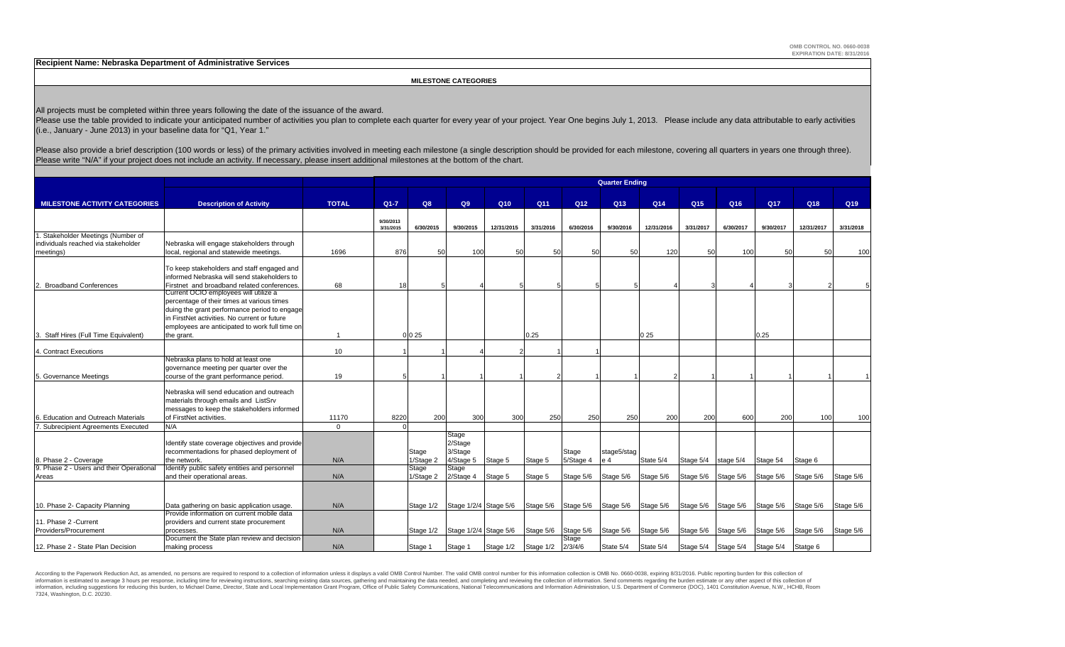**Recipient Name: Nebraska Department of Administrative Services**

 **MILESTONE CATEGORIES**

All projects must be completed within three years following the date of the issuance of the award.

Please use the table provided to indicate your anticipated number of activities you plan to complete each quarter for every year of your project. Year One begins July 1, 2013. Please include any data attributable to early (i.e., January - June 2013) in your baseline data for "Q1, Year 1."

Please also provide a brief description (100 words or less) of the primary activities involved in meeting each milestone (a single description should be provided for each milestone, covering all quarters in years one throu Please write "N/A" if your project does not include an activity. If necessary, please insert additional milestones at the bottom of the chart.

|                                          |                                                | <b>Quarter Ending</b> |           |           |                                 |                             |           |           |                                         |            |                 |                                         |            |            |           |
|------------------------------------------|------------------------------------------------|-----------------------|-----------|-----------|---------------------------------|-----------------------------|-----------|-----------|-----------------------------------------|------------|-----------------|-----------------------------------------|------------|------------|-----------|
|                                          |                                                |                       |           |           |                                 |                             |           |           |                                         |            |                 |                                         |            |            |           |
| <b>MILESTONE ACTIVITY CATEGORIES</b>     | <b>Description of Activity</b>                 | <b>TOTAL</b>          | $Q1 - 7$  | Q8        | Q9                              | Q <sub>10</sub>             | Q11       | Q12       | Q <sub>13</sub>                         | Q14        | Q <sub>15</sub> | Q16                                     | <b>Q17</b> | Q18        | Q19       |
|                                          |                                                |                       | 9/30/2013 |           |                                 |                             |           |           |                                         |            |                 |                                         |            |            |           |
|                                          |                                                |                       | 3/31/2015 | 6/30/2015 | 9/30/2015                       | 12/31/2015                  | 3/31/2016 | 6/30/2016 | 9/30/2016                               | 12/31/2016 | 3/31/2017       | 6/30/2017                               | 9/30/2017  | 12/31/2017 | 3/31/2018 |
| 1. Stakeholder Meetings (Number of       |                                                |                       |           |           |                                 |                             |           |           |                                         |            |                 |                                         |            |            |           |
| individuals reached via stakeholder      | Nebraska will engage stakeholders through      |                       |           |           |                                 |                             |           |           |                                         |            |                 |                                         |            |            |           |
| meetings)                                | local, regional and statewide meetings.        | 1696                  | 876       | 50        | 100                             | 50                          | 50        | 50        | 50                                      | 120        | 50              | 100                                     | 50         | 50         | 100       |
|                                          |                                                |                       |           |           |                                 |                             |           |           |                                         |            |                 |                                         |            |            |           |
|                                          | To keep stakeholders and staff engaged and     |                       |           |           |                                 |                             |           |           |                                         |            |                 |                                         |            |            |           |
|                                          | informed Nebraska will send stakeholders to    |                       |           |           |                                 |                             |           |           |                                         |            |                 |                                         |            |            |           |
| 2. Broadband Conferences                 | Firstnet and broadband related conferences.    | 68                    | 18        |           |                                 |                             |           |           |                                         |            |                 |                                         |            |            |           |
|                                          | Current OCIO employees will utilize a          |                       |           |           |                                 |                             |           |           |                                         |            |                 |                                         |            |            |           |
|                                          | percentage of their times at various times     |                       |           |           |                                 |                             |           |           |                                         |            |                 |                                         |            |            |           |
|                                          | duing the grant performance period to engage   |                       |           |           |                                 |                             |           |           |                                         |            |                 |                                         |            |            |           |
|                                          | in FirstNet activities. No current or future   |                       |           |           |                                 |                             |           |           |                                         |            |                 |                                         |            |            |           |
|                                          | employees are anticipated to work full time on |                       |           |           |                                 |                             |           |           |                                         |            |                 |                                         |            |            |           |
| 3. Staff Hires (Full Time Equivalent)    | the grant.                                     | $\overline{1}$        |           | 0 0 25    |                                 |                             | 0.25      |           |                                         | 025        |                 |                                         | 0.25       |            |           |
| 4. Contract Executions                   |                                                | 10                    |           |           |                                 |                             |           |           |                                         |            |                 |                                         |            |            |           |
|                                          | Nebraska plans to hold at least one            |                       |           |           |                                 |                             |           |           |                                         |            |                 |                                         |            |            |           |
|                                          | governance meeting per quarter over the        |                       |           |           |                                 |                             |           |           |                                         |            |                 |                                         |            |            |           |
| 5. Governance Meetings                   | course of the grant performance period.        | 19                    |           |           |                                 |                             |           |           |                                         |            |                 |                                         |            |            |           |
|                                          |                                                |                       |           |           |                                 |                             |           |           |                                         |            |                 |                                         |            |            |           |
|                                          | Nebraska will send education and outreach      |                       |           |           |                                 |                             |           |           |                                         |            |                 |                                         |            |            |           |
|                                          | materials through emails and ListSrv           |                       |           |           |                                 |                             |           |           |                                         |            |                 |                                         |            |            |           |
|                                          | messages to keep the stakeholders informed     |                       |           |           |                                 |                             |           |           |                                         |            |                 |                                         |            |            |           |
| <b>Education and Outreach Materials</b>  | of FirstNet activities.                        | 11170                 | 8220      | 200       | 300                             | 300                         | 250       | 250       | 250                                     | 200        | 200             | 600                                     | 200        | 100        | 100       |
| 7. Subrecipient Agreements Executed      | N/A                                            | $\Omega$              |           |           |                                 |                             |           |           |                                         |            |                 |                                         |            |            |           |
|                                          |                                                |                       |           |           | Stage                           |                             |           |           |                                         |            |                 |                                         |            |            |           |
|                                          | Identify state coverage objectives and provide |                       |           |           | 2/Stage                         |                             |           |           |                                         |            |                 |                                         |            |            |           |
|                                          | recommentadions for phased deployment of       |                       |           | Stage     | 3/Stage                         |                             |           | Stage     | stage5/stag                             |            |                 |                                         |            |            |           |
| 8. Phase 2 - Coverage                    | the network.                                   | N/A                   |           | 1/Stage 2 | 4/Stage 5                       | Stage 5                     | Stage 5   | 5/Stage 4 | e 4                                     | State 5/4  | Stage 5/4       | stage 5/4                               | Stage 54   | Stage 6    |           |
| 9. Phase 2 - Users and their Operational | Identify public safety entities and personnel  |                       |           | Stage     | Stage                           |                             |           |           |                                         |            |                 |                                         |            |            |           |
| Areas                                    | and their operational areas.                   | N/A                   |           | 1/Stage 2 | $2$ /Staqe 4                    | Stage 5                     | Stage 5   | Stage 5/6 | Stage 5/6                               | Stage 5/6  | Stage 5/6       | Stage 5/6                               | Stage 5/6  | Stage 5/6  | Stage 5/6 |
|                                          |                                                |                       |           |           |                                 |                             |           |           |                                         |            |                 |                                         |            |            |           |
|                                          |                                                |                       |           |           |                                 |                             |           |           |                                         |            |                 |                                         |            |            |           |
| 10. Phase 2- Capacity Planning           | Data gathering on basic application usage.     | N/A                   |           |           | Stage 1/2 Stage 1/2/4 Stage 5/6 |                             |           |           | Stage 5/6 Stage 5/6 Stage 5/6 Stage 5/6 |            |                 | Stage 5/6 Stage 5/6 Stage 5/6 Stage 5/6 |            |            | Stage 5/6 |
|                                          | Provide information on current mobile data     |                       |           |           |                                 |                             |           |           |                                         |            |                 |                                         |            |            |           |
| 11. Phase 2 - Current                    | providers and current state procurement        |                       |           |           |                                 |                             |           |           |                                         |            |                 |                                         |            |            |           |
| Providers/Procurement                    | processes.                                     | N/A                   |           |           | Stage 1/2 Stage 1/2/4 Stage 5/6 |                             | Stage 5/6 | Stage 5/6 | Stage 5/6                               | Stage 5/6  | Stage 5/6       | Stage 5/6                               | Stage 5/6  | Stage 5/6  | Stage 5/6 |
|                                          | Document the State plan review and decision-   |                       |           |           |                                 |                             |           | Stage     |                                         |            |                 |                                         |            |            |           |
| 12. Phase 2 - State Plan Decision        | making process                                 | N/A                   |           | Stage 1   | Stage 1                         | Stage 1/2 Stage 1/2 2/3/4/6 |           |           | State 5/4                               | State 5/4  |                 | Stage 5/4 Stage 5/4 Stage 5/4 Statge 6  |            |            |           |

According to the Paperwork Reduction Act, as amended, no persons are required to respond to a collection of information unless it displays a valid OMB Control Number. The valid OMB control number for this information colle information is estimated to average 3 hours per response, including time for reviewing instructions, searching existing data sources, gathering and maintaining the data needed, and completing and reviewing the collection o information, including suggestions for reducing this burden, to Michael Dame, Director, State and Local Implementation Grant Program, Office of Public Safety Communications, National Telecommunications and Information Admi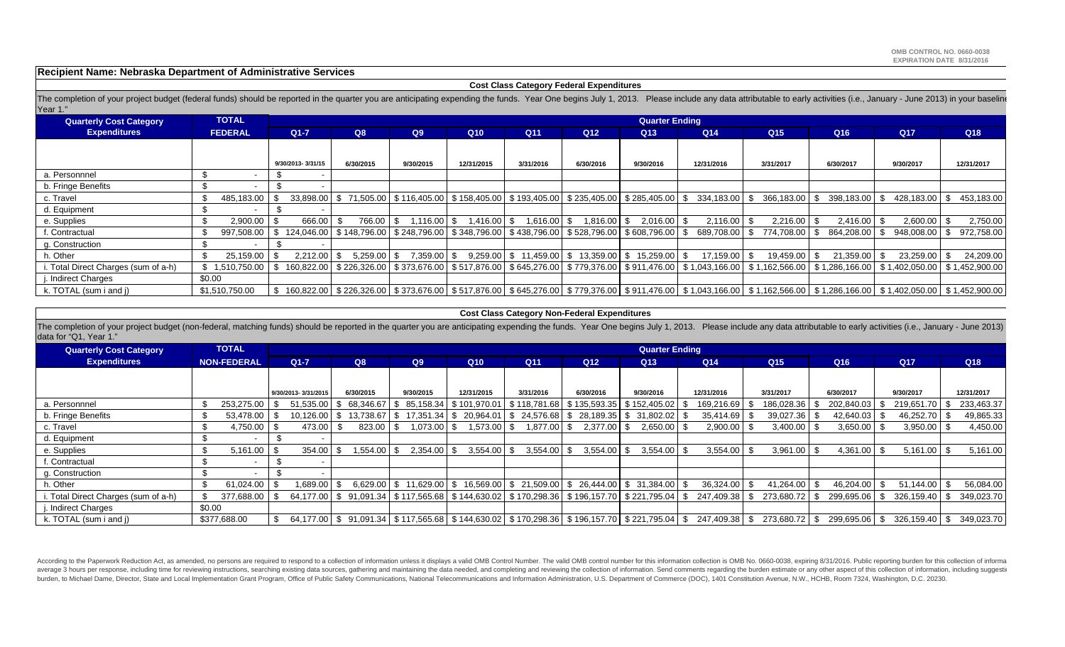**Recipient Name: Nebraska Department of Administrative Services**

#### **Cost Class Category Federal Expenditures**

The completion of your project budget (federal funds) should be reported in the quarter you are anticipating expending the funds. Year One begins July 1, 2013. Please include any data attributable to early activities (i.e. Year 1."

| <b>Quarterly Cost Category</b>       | <b>TOTAL</b>    |                   |           |                               |               |                                                              |                 | <b>Quarter Ending</b> |                                                                                                                                                          |                 |                 |                |                                                                                                                                                                                    |
|--------------------------------------|-----------------|-------------------|-----------|-------------------------------|---------------|--------------------------------------------------------------|-----------------|-----------------------|----------------------------------------------------------------------------------------------------------------------------------------------------------|-----------------|-----------------|----------------|------------------------------------------------------------------------------------------------------------------------------------------------------------------------------------|
| <b>Expenditures</b>                  | <b>FEDERAL</b>  | $Q1 - 7$          | Q8        | Q9                            | Q10           | Q11                                                          | Q <sub>12</sub> | Q <sub>13</sub>       | Q14                                                                                                                                                      | Q <sub>15</sub> | Q <sub>16</sub> | Q17            | Q18                                                                                                                                                                                |
|                                      |                 |                   |           |                               |               |                                                              |                 |                       |                                                                                                                                                          |                 |                 |                |                                                                                                                                                                                    |
|                                      |                 | 9/30/2013-3/31/15 | 6/30/2015 | 9/30/2015                     | 12/31/2015    | 3/31/2016                                                    | 6/30/2016       | 9/30/2016             | 12/31/2016                                                                                                                                               | 3/31/2017       | 6/30/2017       | 9/30/2017      | 12/31/2017                                                                                                                                                                         |
| a. Personnnel                        |                 |                   |           |                               |               |                                                              |                 |                       |                                                                                                                                                          |                 |                 |                |                                                                                                                                                                                    |
| b. Fringe Benefits                   |                 |                   |           |                               |               |                                                              |                 |                       |                                                                                                                                                          |                 |                 |                |                                                                                                                                                                                    |
| c. Travel                            | 485,183.00      |                   |           |                               |               |                                                              |                 |                       |                                                                                                                                                          |                 |                 |                | $33,898.00$ \$ 71,505.00 \$ 116,405.00 \$ 158,405.00 \$ 193,405.00 \$ 235,405.00 \$ 285,405.00 \$ 334,183.00 \$ 366,183.00 \$ 366,183.00 \$ 398,183.00 \$ 428,183.00 \$ 453,183.00 |
| d. Equipment                         |                 |                   |           |                               |               |                                                              |                 |                       |                                                                                                                                                          |                 |                 |                |                                                                                                                                                                                    |
| e. Supplies                          | 2.900.00        | 666.00            | 766.00 \$ | 1.116.00 S                    | $1,416.00$ \$ | 1,616.00 S                                                   | 1,816.00 \$     | $2.016.00$ \$         | $2.116.00$ $\uparrow$ \$                                                                                                                                 | $2.216.00$ S    |                 | $2,600.00$ \$  | 2,750.00                                                                                                                                                                           |
| f. Contractual                       | 997.508.00      |                   |           |                               |               |                                                              |                 |                       | \$124,046.00   \$148,796.00   \$248,796.00   \$348,796.00   \$438,796.00   \$528,796.00   \$608,796.00   \$689,708.00   \$774,708.00   \$664,208.00   \$ |                 |                 | 948,008.00 \$  | 972,758.00                                                                                                                                                                         |
| g. Construction                      |                 |                   |           |                               |               |                                                              |                 |                       |                                                                                                                                                          |                 |                 |                |                                                                                                                                                                                    |
| h. Other                             | 25.159.00       | $2.212.00$ S      |           | $5,259.00$   \$ 7,359.00   \$ |               | $9,259.00$   \$ 11,459.00   \$ 13,359.00   \$ 15,259.00   \$ |                 |                       | 17,159.00 \$                                                                                                                                             | 19,459.00 \$    | 21,359.00 \$    | $23,259.00$ \$ | 24,209.00                                                                                                                                                                          |
| i. Total Direct Charges (sum of a-h) | \$ 1.510.750.00 |                   |           |                               |               |                                                              |                 |                       |                                                                                                                                                          |                 |                 |                | 160,822.00 \$226,326.00 \$373,676.00 \$517,876.00 \$645,276.00 \$779,376.00 \$911,476.00 \$1,043,166.00 \$1,162,566.00 \$1,286,166.00 \$1,402,050.00 \$1,452,900.00                |
| i. Indirect Charges                  | \$0.00          |                   |           |                               |               |                                                              |                 |                       |                                                                                                                                                          |                 |                 |                |                                                                                                                                                                                    |
| k. TOTAL (sum i and j)               | \$1,510,750.00  |                   |           |                               |               |                                                              |                 |                       |                                                                                                                                                          |                 |                 |                | 160,822.00 \$226,326.00 \$373,676.00 \$517,876.00 \$645,276.00 \$779,376.00 \$911,476.00 \$1.043,166.00 \$1,162,566.00 \$1,286,166.00 \$1,402,050.00 \$1,452,900.00                |

#### **Cost Class Category Non-Federal Expenditures**

The completion of your project budget (non-federal, matching funds) should be reported in the quarter you are anticipating expending the funds. Year One begins July 1, 2013. Please include any data attributable to early ac data for "Q1, Year 1."

| <b>Quarterly Cost Category</b>      | <b>TOTAL</b>       |                     | <b>Quarter Ending</b> |                                                                                              |                 |                  |                 |                             |                 |                  |                 |                 |            |
|-------------------------------------|--------------------|---------------------|-----------------------|----------------------------------------------------------------------------------------------|-----------------|------------------|-----------------|-----------------------------|-----------------|------------------|-----------------|-----------------|------------|
| <b>Expenditures</b>                 | <b>NON-FEDERAL</b> | $Q1-7$              | Q8                    | Q9                                                                                           | Q <sub>10</sub> | Q11              | Q <sub>12</sub> | Q <sub>13</sub>             | Q <sub>14</sub> | Q15              | Q <sub>16</sub> | Q <sub>17</sub> | Q18        |
|                                     |                    |                     |                       |                                                                                              |                 |                  |                 |                             |                 |                  |                 |                 |            |
|                                     |                    | 9/30/2013-3/31/2015 | 6/30/2015             | 9/30/2015                                                                                    | 12/31/2015      | 3/31/2016        | 6/30/2016       | 9/30/2016                   | 12/31/2016      | 3/31/2017        | 6/30/2017       | 9/30/2017       | 12/31/2017 |
| a. Personnnel                       | 253,275.00         | $51.535.00$ \$      |                       | 68,346.67   \$ 85,158.34                                                                     | \$101,970.01    | \$118,781.68     |                 | \$135,593.35   \$152,405.02 | 169,216.69      | 186,028.36       | 202,840.03      | 219,651.70      | 233,463.37 |
| b. Fringe Benefits                  | 53,478.00          | 10.126.00           | 13,738.67 \$          | 17,351.34                                                                                    | 20,964.01       | 24.576.68        | 28,189.35       | \$ 31,802.02                | 35,414.69       | 39,027.36        | 42,640.03       | 46,252.70       | 49,865.33  |
| c. Travel                           | 4,750.00           | 473.00              | 823.00                | $.073.00$ \$                                                                                 | 1,573.00        | 1,877.00         | $2,377.00$ \$   | 2,650.00                    | 2,900.00        | 3,400.00         | 3,650.00        | 3,950.00        | 4,450.00   |
| d. Equipment                        |                    |                     |                       |                                                                                              |                 |                  |                 |                             |                 |                  |                 |                 |            |
| e. Supplies                         | 5.161.00           | 354.00              | 1,554.00 \$           | $2,354.00$ \$                                                                                | 3,554.00        | 3,554.00<br>- \$ | $3,554.00$ \$   | $3,554.00$ \$               | $3,554.00$ \$   | 3,961.00         | 4,361.00        | 5,161.00        | 5,161.00   |
| f. Contractual                      |                    |                     |                       |                                                                                              |                 |                  |                 |                             |                 |                  |                 |                 |            |
| g. Construction                     |                    |                     |                       |                                                                                              |                 |                  |                 |                             |                 |                  |                 |                 |            |
| h. Other                            | 61.024.00          | 1.689.00 \$         |                       | $6,629.00$   \$ 11,629.00   \$ 16,569.00   \$ 21,509.00   \$ 26,444.00   \$ 31,384.00        |                 |                  |                 |                             | 36.324.00       | 41,264.00        | 46.204.00       | 51,144.00       | 56,084.00  |
| . Total Direct Charges (sum of a-h) | 377,688.00         |                     |                       | 64,177.00 \$91,091.34 \$117,565.68 \$144,630.02 \$170,298.36 \$196,157.70 \$221,795.04       |                 |                  |                 |                             | 247,409.38      | 273,680.72<br>\$ | 299,695.06      | 326,159.40      | 349,023.70 |
| . Indirect Charges                  | \$0.00             |                     |                       |                                                                                              |                 |                  |                 |                             |                 |                  |                 |                 |            |
| k. TOTAL (sum i and j)              | \$377,688.00       |                     |                       | 64,177.00 \$ 91,091.34 \$ 117,565.68 \$ 144,630.02 \$ 170,298.36 \$ 196,157.70 \$ 221,795.04 |                 |                  |                 |                             | 247.409.38 \$   | 273,680.72 \$    | 299.695.06      | 326,159.40      | 349.023.70 |

According to the Paperwork Reduction Act, as amended, no persons are required to respond to a collection of information unless it displays a valid OMB Control Number. The valid OMB control number for this information colle average 3 hours per response, including time for reviewing instructions, searching existing data sources, gathering and maintaining the data needed, and completing and reviewing the collection of information. Send comments burden, to Michael Dame, Director, State and Local Implementation Grant Program, Office of Public Safety Communications, National Telecommunications and Information Administration, U.S. Department of Commerce (DOC), 1401 C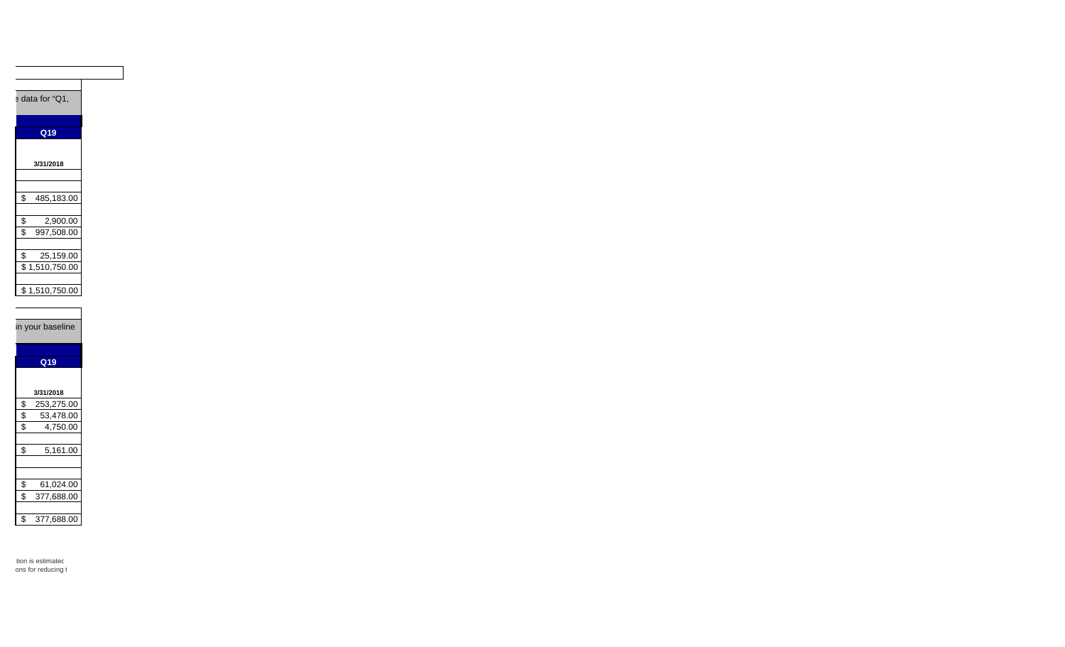

| S  | 53.478.00  |
|----|------------|
| \$ | 4.750.00   |
|    |            |
| \$ | 5,161.00   |
|    |            |
|    |            |
| \$ | 61.024.00  |
| \$ | 377,688.00 |
|    |            |
| \$ | 377,688.00 |

tion is estimatec ons for reducing t